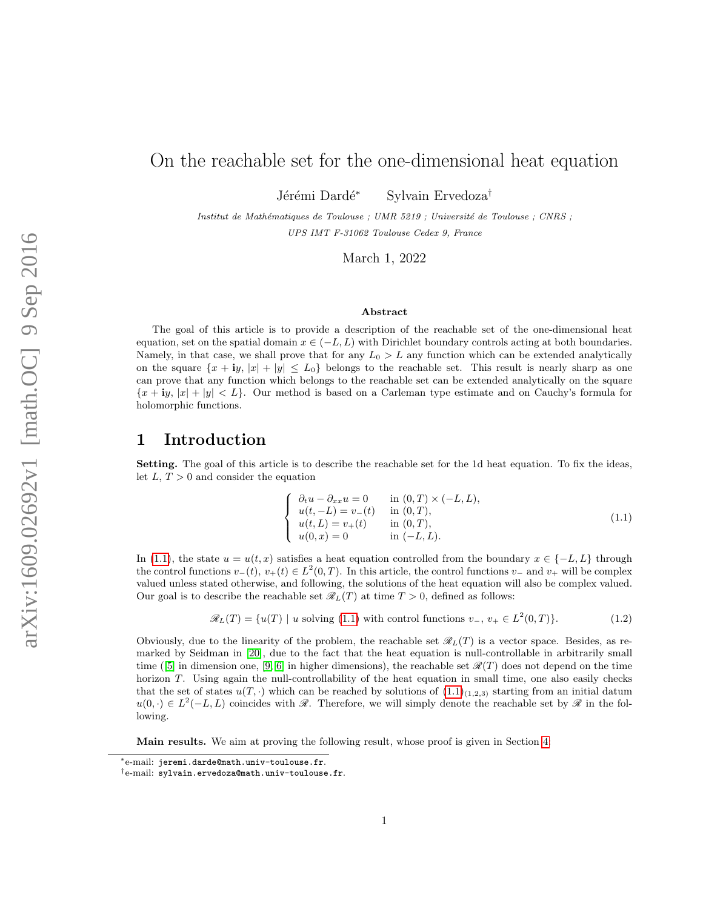# On the reachable set for the one-dimensional heat equation

Jérémi Dardé<sup>∗</sup> Sylvain Ervedoza<sup>†</sup>

Institut de Mathématiques de Toulouse ; UMR 5219 ; Université de Toulouse ; CNRS ; UPS IMT F-31062 Toulouse Cedex 9, France

March 1, 2022

#### Abstract

The goal of this article is to provide a description of the reachable set of the one-dimensional heat equation, set on the spatial domain  $x \in (-L, L)$  with Dirichlet boundary controls acting at both boundaries. Namely, in that case, we shall prove that for any  $L_0 > L$  any function which can be extended analytically on the square  $\{x + iy, |x| + |y| \leq L_0\}$  belongs to the reachable set. This result is nearly sharp as one can prove that any function which belongs to the reachable set can be extended analytically on the square  ${x + iy, |x| + |y| < L}$ . Our method is based on a Carleman type estimate and on Cauchy's formula for holomorphic functions.

### 1 Introduction

Setting. The goal of this article is to describe the reachable set for the 1d heat equation. To fix the ideas, let  $L, T > 0$  and consider the equation

<span id="page-0-0"></span>
$$
\begin{cases}\n\partial_t u - \partial_{xx} u = 0 & \text{in } (0, T) \times (-L, L), \\
u(t, -L) = v_-(t) & \text{in } (0, T), \\
u(t, L) = v_+(t) & \text{in } (0, T), \\
u(0, x) = 0 & \text{in } (-L, L).\n\end{cases}
$$
\n(1.1)

In [\(1.1\)](#page-0-0), the state  $u = u(t, x)$  satisfies a heat equation controlled from the boundary  $x \in \{-L, L\}$  through the control functions  $v_-(t)$ ,  $v_+(t) \in L^2(0,T)$ . In this article, the control functions  $v_-$  and  $v_+$  will be complex valued unless stated otherwise, and following, the solutions of the heat equation will also be complex valued. Our goal is to describe the reachable set  $\mathcal{R}_L(T)$  at time  $T > 0$ , defined as follows:

$$
\mathscr{R}_L(T) = \{ u(T) \mid u \text{ solving (1.1) with control functions } v_-, v_+ \in L^2(0, T) \}. \tag{1.2}
$$

Obviously, due to the linearity of the problem, the reachable set  $\mathcal{R}_L(T)$  is a vector space. Besides, as remarked by Seidman in [\[20\]](#page-17-0), due to the fact that the heat equation is null-controllable in arbitrarily small time ([\[5\]](#page-16-0) in dimension one, [\[9,](#page-17-1) [6\]](#page-16-1) in higher dimensions), the reachable set  $\mathcal{R}(T)$  does not depend on the time horizon T. Using again the null-controllability of the heat equation in small time, one also easily checks that the set of states  $u(T, \cdot)$  which can be reached by solutions of  $(1.1)_{(1,2,3)}$  $(1.1)_{(1,2,3)}$  starting from an initial datum  $u(0, \cdot) \in L^2(-L, L)$  coincides with  $\mathscr R$ . Therefore, we will simply denote the reachable set by  $\mathscr R$  in the following.

Main results. We aim at proving the following result, whose proof is given in Section [4:](#page-8-0)

<sup>∗</sup>e-mail: jeremi.darde@math.univ-toulouse.fr.

<sup>†</sup>e-mail: sylvain.ervedoza@math.univ-toulouse.fr.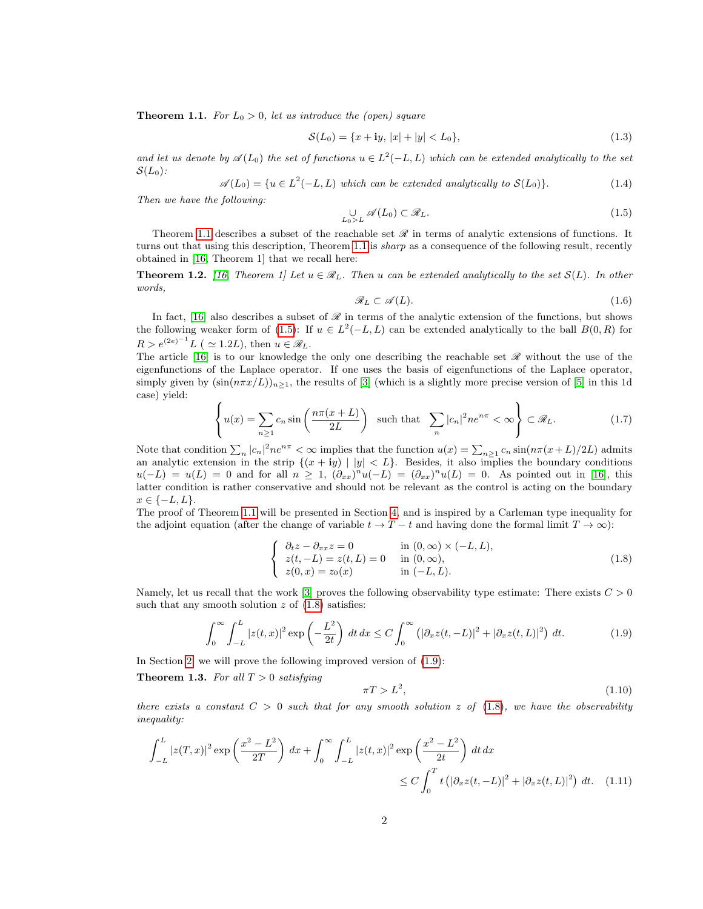<span id="page-1-0"></span>**Theorem 1.1.** For  $L_0 > 0$ , let us introduce the (open) square

$$
\mathcal{S}(L_0) = \{x + \mathbf{i}y, \, |x| + |y| < L_0\},\tag{1.3}
$$

and let us denote by  $\mathscr{A}(L_0)$  the set of functions  $u \in L^2(-L,L)$  which can be extended analytically to the set  $\mathcal{S}(L_0)$ :

$$
\mathscr{A}(L_0) = \{ u \in L^2(-L, L) \text{ which can be extended analytically to } \mathcal{S}(L_0) \}. \tag{1.4}
$$

Then we have the following:

<span id="page-1-1"></span>
$$
\bigcup_{L_0 > L} \mathscr{A}(L_0) \subset \mathscr{R}_L. \tag{1.5}
$$

Theorem [1.1](#page-1-0) describes a subset of the reachable set  $\mathscr R$  in terms of analytic extensions of functions. It turns out that using this description, Theorem [1.1](#page-1-0) is *sharp* as a consequence of the following result, recently obtained in [\[16,](#page-17-2) Theorem 1] that we recall here:

**Theorem 1.2.** [\[16,](#page-17-2) Theorem 1] Let  $u \in \mathcal{R}_L$ . Then u can be extended analytically to the set  $S(L)$ . In other words,

$$
\mathcal{R}_L \subset \mathcal{A}(L). \tag{1.6}
$$

In fact, [\[16\]](#page-17-2) also describes a subset of  $\mathcal R$  in terms of the analytic extension of the functions, but shows the following weaker form of [\(1.5\)](#page-1-1): If  $u \in L^2(-L,L)$  can be extended analytically to the ball  $B(0,R)$  for  $R > e^{(2e)^{-1}} L$  (  $\simeq$  1.2L), then  $u \in \mathscr{R}_L$ .

The article [\[16\]](#page-17-2) is to our knowledge the only one describing the reachable set  $\mathscr R$  without the use of the eigenfunctions of the Laplace operator. If one uses the basis of eigenfunctions of the Laplace operator, simply given by  $(\sin(n\pi x/L))_{n\geq 1}$ , the results of [\[3\]](#page-16-2) (which is a slightly more precise version of [\[5\]](#page-16-0) in this 1d case) yield:

<span id="page-1-7"></span>
$$
\left\{ u(x) = \sum_{n\geq 1} c_n \sin\left(\frac{n\pi(x+L)}{2L}\right) \text{ such that } \sum_n |c_n|^2 n e^{n\pi} < \infty \right\} \subset \mathcal{R}_L. \tag{1.7}
$$

Note that condition  $\sum_n |c_n|^2 n e^{n\pi} < \infty$  implies that the function  $u(x) = \sum_{n \geq 1} c_n \sin(n\pi (x+L)/2L)$  admits an analytic extension in the strip  $\{(x + iy) | |y| < L\}$ . Besides, it also implies the boundary conditions  $u(-L) = u(L) = 0$  and for all  $n \ge 1$ ,  $(\partial_{xx})^n u(-L) = (\partial_{xx})^n u(L) = 0$ . As pointed out in [\[16\]](#page-17-2), this latter condition is rather conservative and should not be relevant as the control is acting on the boundary  $x \in \{-L, L\}.$ 

The proof of Theorem [1.1](#page-1-0) will be presented in Section [4,](#page-8-0) and is inspired by a Carleman type inequality for the adjoint equation (after the change of variable  $t \to T - t$  and having done the formal limit  $T \to \infty$ ):

<span id="page-1-2"></span>
$$
\begin{cases}\n\partial_t z - \partial_{xx} z = 0 & \text{in } (0, \infty) \times (-L, L), \\
z(t, -L) = z(t, L) = 0 & \text{in } (0, \infty), \\
z(0, x) = z_0(x) & \text{in } (-L, L).\n\end{cases}
$$
\n(1.8)

Namely, let us recall that the work [\[3\]](#page-16-2) proves the following observability type estimate: There exists  $C > 0$ such that any smooth solution  $z$  of  $(1.8)$  satisfies:

<span id="page-1-3"></span>
$$
\int_0^\infty \int_{-L}^L |z(t,x)|^2 \exp\left(-\frac{L^2}{2t}\right) dt dx \le C \int_0^\infty \left(|\partial_x z(t,-L)|^2 + |\partial_x z(t,L)|^2\right) dt. \tag{1.9}
$$

In Section [2,](#page-4-0) we will prove the following improved version of [\(1.9\)](#page-1-3):

<span id="page-1-5"></span>**Theorem 1.3.** For all  $T > 0$  satisfying

<span id="page-1-6"></span><span id="page-1-4"></span>
$$
\pi T > L^2,\tag{1.10}
$$

there exists a constant  $C > 0$  such that for any smooth solution z of [\(1.8\)](#page-1-2), we have the observability inequality:

$$
\int_{-L}^{L} |z(T, x)|^2 \exp\left(\frac{x^2 - L^2}{2T}\right) dx + \int_{0}^{\infty} \int_{-L}^{L} |z(t, x)|^2 \exp\left(\frac{x^2 - L^2}{2t}\right) dt dx
$$
  

$$
\leq C \int_{0}^{T} t \left( |\partial_x z(t, -L)|^2 + |\partial_x z(t, L)|^2 \right) dt. \quad (1.11)
$$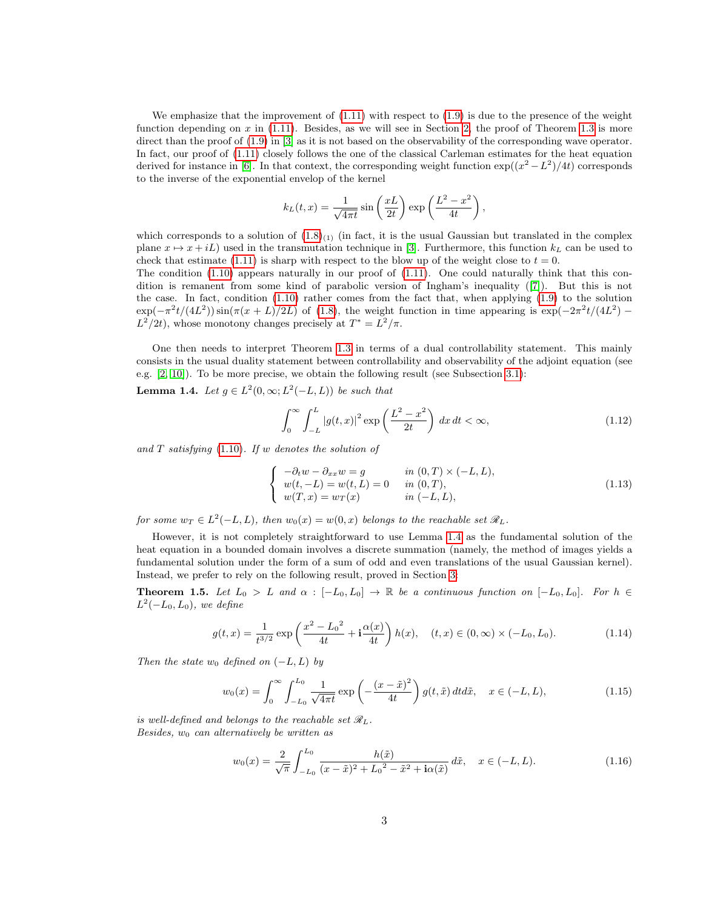We emphasize that the improvement of  $(1.11)$  with respect to  $(1.9)$  is due to the presence of the weight function depending on  $x$  in [\(1.11\)](#page-1-4). Besides, as we will see in Section [2,](#page-4-0) the proof of Theorem [1.3](#page-1-5) is more direct than the proof of  $(1.9)$  in [\[3\]](#page-16-2) as it is not based on the observability of the corresponding wave operator. In fact, our proof of [\(1.11\)](#page-1-4) closely follows the one of the classical Carleman estimates for the heat equation derived for instance in [\[6\]](#page-16-1). In that context, the corresponding weight function  $\exp((x^2 - L^2)/4t)$  corresponds to the inverse of the exponential envelop of the kernel

$$
k_L(t,x) = \frac{1}{\sqrt{4\pi t}} \sin\left(\frac{xL}{2t}\right) \exp\left(\frac{L^2 - x^2}{4t}\right),\,
$$

which corresponds to a solution of  $(1.8)_{(1)}$  $(1.8)_{(1)}$  (in fact, it is the usual Gaussian but translated in the complex plane  $x \mapsto x + iL$ ) used in the transmutation technique in [\[3\]](#page-16-2). Furthermore, this function  $k<sub>L</sub>$  can be used to check that estimate [\(1.11\)](#page-1-4) is sharp with respect to the blow up of the weight close to  $t = 0$ .

The condition  $(1.10)$  appears naturally in our proof of  $(1.11)$ . One could naturally think that this condition is remanent from some kind of parabolic version of Ingham's inequality ([\[7\]](#page-17-3)). But this is not the case. In fact, condition  $(1.10)$  rather comes from the fact that, when applying  $(1.9)$  to the solution  $\exp(-\pi^2 t/(4L^2))\sin(\pi(x+L)/2L)$  of [\(1.8\)](#page-1-2), the weight function in time appearing is  $\exp(-2\pi^2 t/(4L^2))$  $L^2/2t$ , whose monotony changes precisely at  $T^* = L^2/\pi$ .

One then needs to interpret Theorem [1.3](#page-1-5) in terms of a dual controllability statement. This mainly consists in the usual duality statement between controllability and observability of the adjoint equation (see e.g. [\[2,](#page-16-3) [10\]](#page-17-4)). To be more precise, we obtain the following result (see Subsection [3.1\)](#page-5-0):

<span id="page-2-0"></span>**Lemma 1.4.** Let  $g \in L^2(0,\infty; L^2(-L,L))$  be such that

<span id="page-2-4"></span>
$$
\int_0^\infty \int_{-L}^L |g(t,x)|^2 \exp\left(\frac{L^2 - x^2}{2t}\right) dx dt < \infty,
$$
\n(1.12)

and  $T$  satisfying [\(1.10\)](#page-1-6). If w denotes the solution of

<span id="page-2-3"></span>
$$
\begin{cases}\n-\partial_t w - \partial_{xx} w = g & \text{in } (0, T) \times (-L, L), \\
w(t, -L) = w(t, L) = 0 & \text{in } (0, T), \\
w(T, x) = w_T(x) & \text{in } (-L, L),\n\end{cases}
$$
\n(1.13)

for some  $w_T \in L^2(-L,L)$ , then  $w_0(x) = w(0,x)$  belongs to the reachable set  $\mathscr{R}_L$ .

However, it is not completely straightforward to use Lemma [1.4](#page-2-0) as the fundamental solution of the heat equation in a bounded domain involves a discrete summation (namely, the method of images yields a fundamental solution under the form of a sum of odd and even translations of the usual Gaussian kernel). Instead, we prefer to rely on the following result, proved in Section [3:](#page-5-1)

<span id="page-2-1"></span>**Theorem 1.5.** Let  $L_0 > L$  and  $\alpha : [-L_0, L_0] \to \mathbb{R}$  be a continuous function on  $[-L_0, L_0]$ . For  $h \in$  $L^2(-L_0, L_0)$ , we define

<span id="page-2-2"></span>
$$
g(t,x) = \frac{1}{t^{3/2}} \exp\left(\frac{x^2 - L_0^2}{4t} + \mathbf{i}\frac{\alpha(x)}{4t}\right) h(x), \quad (t,x) \in (0,\infty) \times (-L_0, L_0). \tag{1.14}
$$

Then the state  $w_0$  defined on  $(-L, L)$  by

<span id="page-2-5"></span>
$$
w_0(x) = \int_0^\infty \int_{-L_0}^{L_0} \frac{1}{\sqrt{4\pi t}} \exp\left(-\frac{(x-\tilde{x})^2}{4t}\right) g(t, \tilde{x}) dt d\tilde{x}, \quad x \in (-L, L), \tag{1.15}
$$

is well-defined and belongs to the reachable set  $\mathcal{R}_L$ . Besides,  $w_0$  can alternatively be written as

<span id="page-2-6"></span>
$$
w_0(x) = \frac{2}{\sqrt{\pi}} \int_{-L_0}^{L_0} \frac{h(\tilde{x})}{(x - \tilde{x})^2 + L_0^2 - \tilde{x}^2 + i\alpha(\tilde{x})} d\tilde{x}, \quad x \in (-L, L).
$$
 (1.16)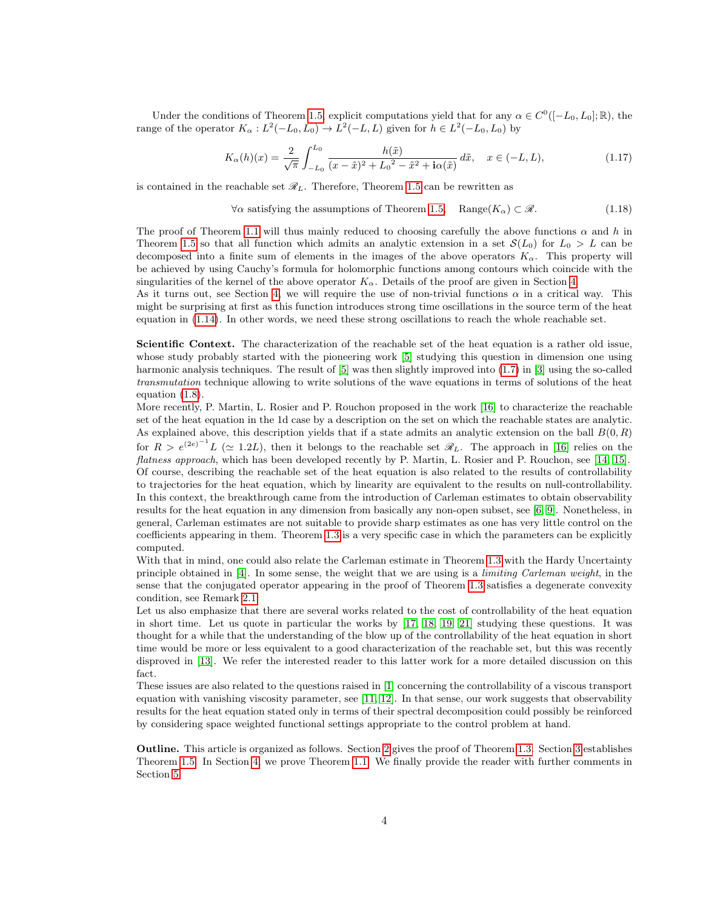Under the conditions of Theorem [1.5,](#page-2-1) explicit computations yield that for any  $\alpha \in C^0([-L_0, L_0]; \mathbb{R})$ , the range of the operator  $K_{\alpha}: L^2(-L_0, L_0) \to L^2(-L, L)$  given for  $h \in L^2(-L_0, L_0)$  by

<span id="page-3-0"></span>
$$
K_{\alpha}(h)(x) = \frac{2}{\sqrt{\pi}} \int_{-L_0}^{L_0} \frac{h(\tilde{x})}{(x - \tilde{x})^2 + L_0^2 - \tilde{x}^2 + i\alpha(\tilde{x})} d\tilde{x}, \quad x \in (-L, L),
$$
\n(1.17)

is contained in the reachable set  $\mathcal{R}_L$ . Therefore, Theorem [1.5](#page-2-1) can be rewritten as

 $\forall \alpha$  satisfying the assumptions of Theorem [1.5](#page-2-1), Range( $K_{\alpha}$ )  $\subset \mathscr{R}$ . (1.18)

The proof of Theorem [1.1](#page-1-0) will thus mainly reduced to choosing carefully the above functions  $\alpha$  and h in Theorem [1.5](#page-2-1) so that all function which admits an analytic extension in a set  $\mathcal{S}(L_0)$  for  $L_0 > L$  can be decomposed into a finite sum of elements in the images of the above operators  $K_{\alpha}$ . This property will be achieved by using Cauchy's formula for holomorphic functions among contours which coincide with the singularities of the kernel of the above operator  $K_{\alpha}$ . Details of the proof are given in Section [4.](#page-8-0)

As it turns out, see Section [4,](#page-8-0) we will require the use of non-trivial functions  $\alpha$  in a critical way. This might be surprising at first as this function introduces strong time oscillations in the source term of the heat equation in [\(1.14\)](#page-2-2). In other words, we need these strong oscillations to reach the whole reachable set.

Scientific Context. The characterization of the reachable set of the heat equation is a rather old issue, whose study probably started with the pioneering work [\[5\]](#page-16-0) studying this question in dimension one using harmonic analysis techniques. The result of [\[5\]](#page-16-0) was then slightly improved into  $(1.7)$  in [\[3\]](#page-16-2) using the so-called transmutation technique allowing to write solutions of the wave equations in terms of solutions of the heat equation [\(1.8\)](#page-1-2).

More recently, P. Martin, L. Rosier and P. Rouchon proposed in the work [\[16\]](#page-17-2) to characterize the reachable set of the heat equation in the 1d case by a description on the set on which the reachable states are analytic. As explained above, this description yields that if a state admits an analytic extension on the ball  $B(0, R)$ for  $R > e^{(2e)^{-1}}L \ (\simeq 1.2L)$ , then it belongs to the reachable set  $\mathscr{R}_L$ . The approach in [\[16\]](#page-17-2) relies on the flatness approach, which has been developed recently by P. Martin, L. Rosier and P. Rouchon, see [\[14,](#page-17-5) [15\]](#page-17-6). Of course, describing the reachable set of the heat equation is also related to the results of controllability to trajectories for the heat equation, which by linearity are equivalent to the results on null-controllability. In this context, the breakthrough came from the introduction of Carleman estimates to obtain observability results for the heat equation in any dimension from basically any non-open subset, see [\[6,](#page-16-1) [9\]](#page-17-1). Nonetheless, in general, Carleman estimates are not suitable to provide sharp estimates as one has very little control on the coefficients appearing in them. Theorem [1.3](#page-1-5) is a very specific case in which the parameters can be explicitly computed.

With that in mind, one could also relate the Carleman estimate in Theorem [1.3](#page-1-5) with the Hardy Uncertainty principle obtained in [\[4\]](#page-16-4). In some sense, the weight that we are using is a limiting Carleman weight, in the sense that the conjugated operator appearing in the proof of Theorem [1.3](#page-1-5) satisfies a degenerate convexity condition, see Remark [2.1.](#page-5-2)

Let us also emphasize that there are several works related to the cost of controllability of the heat equation in short time. Let us quote in particular the works by [\[17,](#page-17-7) [18,](#page-17-8) [19,](#page-17-9) [21\]](#page-17-10) studying these questions. It was thought for a while that the understanding of the blow up of the controllability of the heat equation in short time would be more or less equivalent to a good characterization of the reachable set, but this was recently disproved in [\[13\]](#page-17-11). We refer the interested reader to this latter work for a more detailed discussion on this fact.

These issues are also related to the questions raised in [\[1\]](#page-16-5) concerning the controllability of a viscous transport equation with vanishing viscosity parameter, see [\[11,](#page-17-12) [12\]](#page-17-13). In that sense, our work suggests that observability results for the heat equation stated only in terms of their spectral decomposition could possibly be reinforced by considering space weighted functional settings appropriate to the control problem at hand.

Outline. This article is organized as follows. Section [2](#page-4-0) gives the proof of Theorem [1.3.](#page-1-5) Section [3](#page-5-1) establishes Theorem [1.5.](#page-2-1) In Section [4,](#page-8-0) we prove Theorem [1.1.](#page-1-0) We finally provide the reader with further comments in Section [5.](#page-16-6)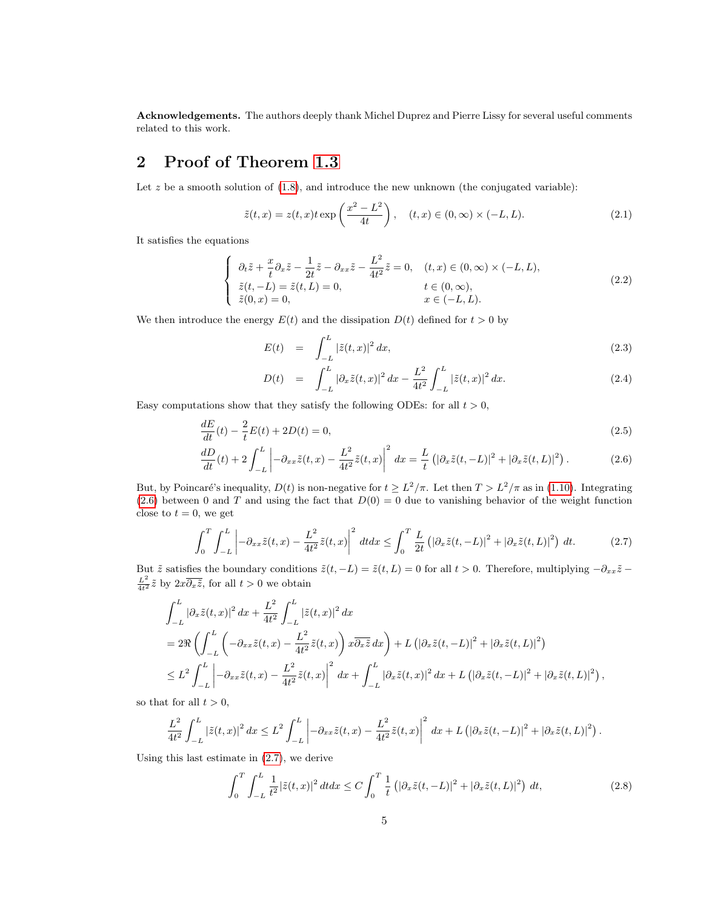Acknowledgements. The authors deeply thank Michel Duprez and Pierre Lissy for several useful comments related to this work.

# <span id="page-4-0"></span>2 Proof of Theorem [1.3](#page-1-5)

Let  $z$  be a smooth solution of  $(1.8)$ , and introduce the new unknown (the conjugated variable):

<span id="page-4-5"></span>
$$
\tilde{z}(t,x) = z(t,x)t \exp\left(\frac{x^2 - L^2}{4t}\right), \quad (t,x) \in (0,\infty) \times (-L,L). \tag{2.1}
$$

It satisfies the equations

<span id="page-4-6"></span>
$$
\begin{cases}\n\partial_t \tilde{z} + \frac{x}{t} \partial_x \tilde{z} - \frac{1}{2t} \tilde{z} - \partial_{xx} \tilde{z} - \frac{L^2}{4t^2} \tilde{z} = 0, & (t, x) \in (0, \infty) \times (-L, L), \\
\tilde{z}(t, -L) = \tilde{z}(t, L) = 0, & t \in (0, \infty), \\
\tilde{z}(0, x) = 0, & x \in (-L, L).\n\end{cases}
$$
\n(2.2)

We then introduce the energy  $E(t)$  and the dissipation  $D(t)$  defined for  $t > 0$  by

$$
E(t) = \int_{-L}^{L} |\tilde{z}(t,x)|^2 dx,
$$
\n(2.3)

<span id="page-4-3"></span><span id="page-4-1"></span>
$$
D(t) = \int_{-L}^{L} |\partial_x \tilde{z}(t, x)|^2 dx - \frac{L^2}{4t^2} \int_{-L}^{L} |\tilde{z}(t, x)|^2 dx.
$$
 (2.4)

Easy computations show that they satisfy the following ODEs: for all  $t > 0$ ,

$$
\frac{dE}{dt}(t) - \frac{2}{t}E(t) + 2D(t) = 0,\t\t(2.5)
$$

$$
\frac{dD}{dt}(t) + 2\int_{-L}^{L} \left| -\partial_{xx}\tilde{z}(t,x) - \frac{L^2}{4t^2}\tilde{z}(t,x) \right|^2 dx = \frac{L}{t} \left( |\partial_x\tilde{z}(t,-L)|^2 + |\partial_x\tilde{z}(t,L)|^2 \right).
$$
 (2.6)

But, by Poincaré's inequality,  $D(t)$  is non-negative for  $t \geq L^2/\pi$ . Let then  $T > L^2/\pi$  as in [\(1.10\)](#page-1-6). Integrating  $(2.6)$  between 0 and T and using the fact that  $D(0) = 0$  due to vanishing behavior of the weight function close to  $t = 0$ , we get

<span id="page-4-2"></span>
$$
\int_0^T \int_{-L}^L \left| -\partial_{xx}\tilde{z}(t,x) - \frac{L^2}{4t^2}\tilde{z}(t,x) \right|^2 dt dx \le \int_0^T \frac{L}{2t} \left( \left| \partial_x\tilde{z}(t,-L) \right|^2 + \left| \partial_x\tilde{z}(t,L) \right|^2 \right) dt. \tag{2.7}
$$

But  $\tilde{z}$  satisfies the boundary conditions  $\tilde{z}(t, -L) = \tilde{z}(t, L) = 0$  for all  $t > 0$ . Therefore, multiplying  $-\partial_{xx}\tilde{z} \frac{L^2}{4t^2}\tilde{z}$  by  $2x\overline{\partial_x \tilde{z}}$ , for all  $t > 0$  we obtain

$$
\int_{-L}^{L} |\partial_x \tilde{z}(t,x)|^2 dx + \frac{L^2}{4t^2} \int_{-L}^{L} |\tilde{z}(t,x)|^2 dx
$$
  
=  $2\Re \left( \int_{-L}^{L} \left( -\partial_{xx} \tilde{z}(t,x) - \frac{L^2}{4t^2} \tilde{z}(t,x) \right) x \overline{\partial_x \tilde{z}} dx \right) + L \left( |\partial_x \tilde{z}(t,-L)|^2 + |\partial_x \tilde{z}(t,L)|^2 \right)$   
 $\leq L^2 \int_{-L}^{L} \left| -\partial_{xx} \tilde{z}(t,x) - \frac{L^2}{4t^2} \tilde{z}(t,x) \right|^2 dx + \int_{-L}^{L} |\partial_x \tilde{z}(t,x)|^2 dx + L \left( |\partial_x \tilde{z}(t,-L)|^2 + |\partial_x \tilde{z}(t,L)|^2 \right),$ 

so that for all  $t > 0$ ,

$$
\frac{L^2}{4t^2}\int_{-L}^{L} |\tilde{z}(t,x)|^2 dx \leq L^2 \int_{-L}^{L} \left| -\partial_{xx}\tilde{z}(t,x) - \frac{L^2}{4t^2}\tilde{z}(t,x) \right|^2 dx + L \left( |\partial_x\tilde{z}(t,-L)|^2 + |\partial_x\tilde{z}(t,L)|^2 \right).
$$

Using this last estimate in [\(2.7\)](#page-4-2), we derive

<span id="page-4-4"></span>
$$
\int_0^T \int_{-L}^L \frac{1}{t^2} |\tilde{z}(t,x)|^2 dt dx \le C \int_0^T \frac{1}{t} \left( |\partial_x \tilde{z}(t,-L)|^2 + |\partial_x \tilde{z}(t,L)|^2 \right) dt,
$$
\n(2.8)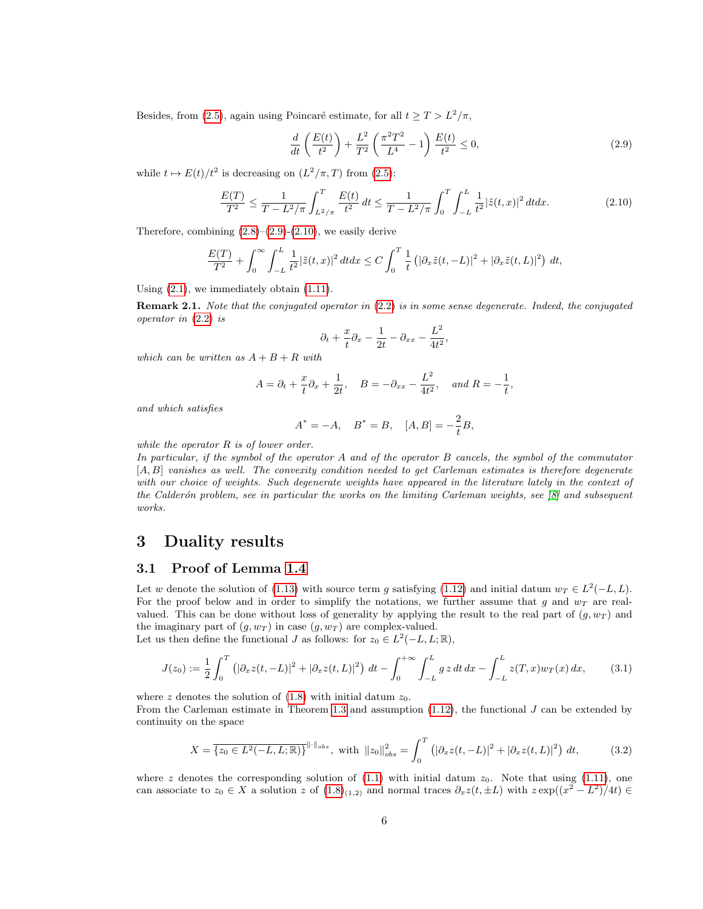Besides, from [\(2.5\)](#page-4-3), again using Poincaré estimate, for all  $t \geq T > L^2/\pi$ ,

<span id="page-5-3"></span>
$$
\frac{d}{dt}\left(\frac{E(t)}{t^2}\right) + \frac{L^2}{T^2}\left(\frac{\pi^2 T^2}{L^4} - 1\right)\frac{E(t)}{t^2} \le 0,\tag{2.9}
$$

while  $t \mapsto E(t)/t^2$  is decreasing on  $(L^2/\pi, T)$  from [\(2.5\)](#page-4-3):

<span id="page-5-4"></span>
$$
\frac{E(T)}{T^2} \le \frac{1}{T - L^2/\pi} \int_{L^2/\pi}^T \frac{E(t)}{t^2} dt \le \frac{1}{T - L^2/\pi} \int_0^T \int_{-L}^L \frac{1}{t^2} |\tilde{z}(t, x)|^2 dt dx.
$$
 (2.10)

,

Therefore, combining  $(2.8)$ – $(2.9)$ - $(2.10)$ , we easily derive

$$
\frac{E(T)}{T^2} + \int_0^\infty \int_{-L}^L \frac{1}{t^2} |\tilde{z}(t,x)|^2 dt dx \le C \int_0^T \frac{1}{t} \left( |\partial_x \tilde{z}(t,-L)|^2 + |\partial_x \tilde{z}(t,L)|^2 \right) dt,
$$

Using  $(2.1)$ , we immediately obtain  $(1.11)$ .

<span id="page-5-2"></span>**Remark 2.1.** Note that the conjugated operator in [\(2.2\)](#page-4-6) is in some sense degenerate. Indeed, the conjugated operator in [\(2.2\)](#page-4-6) is

$$
\partial_t + \frac{x}{t} \partial_x - \frac{1}{2t} - \partial_{xx} - \frac{L^2}{4t^2}
$$

which can be written as  $A + B + R$  with

$$
A = \partial_t + \frac{x}{t} \partial_x + \frac{1}{2t}, \quad B = -\partial_{xx} - \frac{L^2}{4t^2}, \quad and \ R = -\frac{1}{t},
$$

and which satisfies

$$
A^* = -A, \quad B^* = B, \quad [A, B] = -\frac{2}{t}B,
$$

while the operator  $R$  is of lower order.

In particular, if the symbol of the operator A and of the operator B cancels, the symbol of the commutator [A, B] vanishes as well. The convexity condition needed to get Carleman estimates is therefore degenerate with our choice of weights. Such degenerate weights have appeared in the literature lately in the context of the Calderón problem, see in particular the works on the limiting Carleman weights, see  $\lvert \mathcal{S} \rvert$  and subsequent works.

## <span id="page-5-1"></span>3 Duality results

#### <span id="page-5-0"></span>3.1 Proof of Lemma [1.4](#page-2-0)

Let w denote the solution of [\(1.13\)](#page-2-3) with source term g satisfying [\(1.12\)](#page-2-4) and initial datum  $w_T \in L^2(-L, L)$ . For the proof below and in order to simplify the notations, we further assume that g and  $w_T$  are realvalued. This can be done without loss of generality by applying the result to the real part of  $(g, w_T)$  and the imaginary part of  $(q, w_T)$  in case  $(q, w_T)$  are complex-valued.

Let us then define the functional J as follows: for  $z_0 \in L^2(-L, L; \mathbb{R})$ ,

$$
J(z_0) := \frac{1}{2} \int_0^T \left( |\partial_x z(t, -L)|^2 + |\partial_x z(t, L)|^2 \right) dt - \int_0^{+\infty} \int_{-L}^L g z dt dx - \int_{-L}^L z(T, x) w_T(x) dx, \tag{3.1}
$$

where z denotes the solution of  $(1.8)$  with initial datum  $z_0$ .

From the Carleman estimate in Theorem [1.3](#page-1-5) and assumption  $(1.12)$ , the functional J can be extended by continuity on the space

$$
X = \overline{\{z_0 \in L^2(-L, L; \mathbb{R})\}}^{\|\cdot\|_{obs}}, \text{ with } \|z_0\|_{obs}^2 = \int_0^T \left( |\partial_x z(t, -L)|^2 + |\partial_x z(t, L)|^2 \right) dt,\tag{3.2}
$$

where z denotes the corresponding solution of  $(1.1)$  with initial datum  $z_0$ . Note that using  $(1.11)$ , one can associate to  $z_0 \in X$  a solution z of  $(1.8)_{(1,2)}$  $(1.8)_{(1,2)}$  and normal traces  $\partial_x z(t, \pm L)$  with  $z \exp((x^2 - L^2)/4t) \in$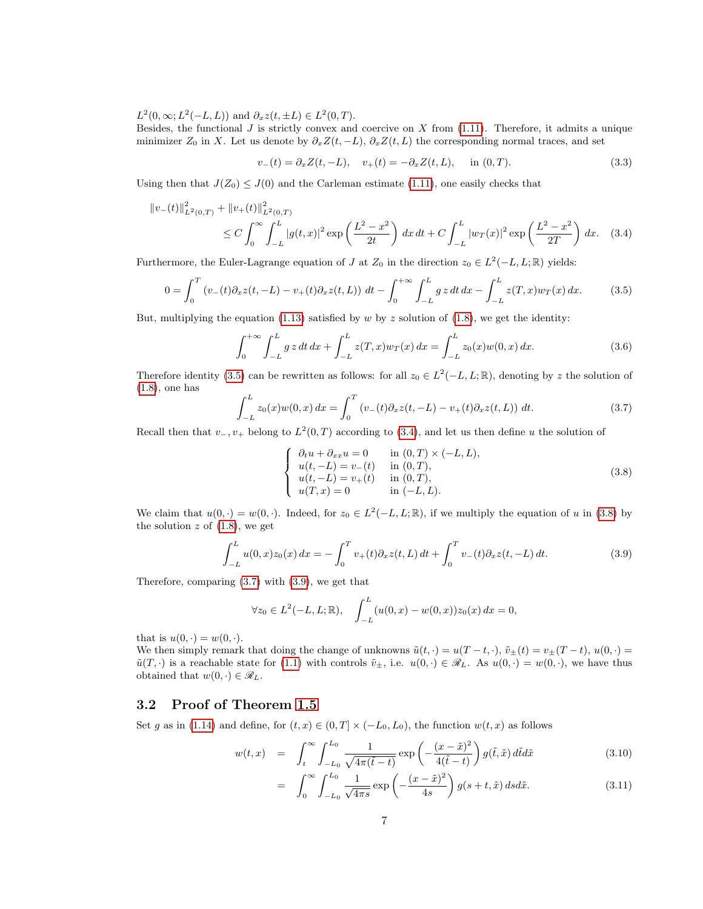$L^2(0,\infty; L^2(-L,L))$  and  $\partial_x z(t,\pm L) \in L^2(0,T)$ .

Besides, the functional  $J$  is strictly convex and coercive on  $X$  from [\(1.11\)](#page-1-4). Therefore, it admits a unique minimizer  $Z_0$  in X. Let us denote by  $\partial_x Z(t, -L)$ ,  $\partial_x Z(t, L)$  the corresponding normal traces, and set

<span id="page-6-1"></span>
$$
v_{-}(t) = \partial_{x} Z(t, -L), \quad v_{+}(t) = -\partial_{x} Z(t, L), \quad \text{in } (0, T). \tag{3.3}
$$

Using then that  $J(Z_0) \leq J(0)$  and the Carleman estimate [\(1.11\)](#page-1-4), one easily checks that

$$
\|v_{-}(t)\|_{L^{2}(0,T)}^{2} + \|v_{+}(t)\|_{L^{2}(0,T)}^{2}
$$
  
\n
$$
\leq C \int_{0}^{\infty} \int_{-L}^{L} |g(t,x)|^{2} \exp\left(\frac{L^{2}-x^{2}}{2t}\right) dx dt + C \int_{-L}^{L} |w_{T}(x)|^{2} \exp\left(\frac{L^{2}-x^{2}}{2T}\right) dx.
$$
 (3.4)

Furthermore, the Euler-Lagrange equation of J at  $Z_0$  in the direction  $z_0 \in L^2(-L, L; \mathbb{R})$  yields:

<span id="page-6-0"></span>
$$
0 = \int_0^T \left( v_-(t) \partial_x z(t, -L) - v_+(t) \partial_x z(t, L) \right) dt - \int_0^{+\infty} \int_{-L}^L g z dt dx - \int_{-L}^L z(T, x) w_T(x) dx.
$$
 (3.5)

But, multiplying the equation  $(1.13)$  satisfied by w by z solution of  $(1.8)$ , we get the identity:

$$
\int_0^{+\infty} \int_{-L}^L g z dt dx + \int_{-L}^L z(T, x) w_T(x) dx = \int_{-L}^L z_0(x) w(0, x) dx.
$$
 (3.6)

Therefore identity [\(3.5\)](#page-6-0) can be rewritten as follows: for all  $z_0 \in L^2(-L, L; \mathbb{R})$ , denoting by z the solution of [\(1.8\)](#page-1-2), one has

<span id="page-6-3"></span>
$$
\int_{-L}^{L} z_0(x)w(0, x) dx = \int_0^T \left( v_-(t) \partial_x z(t, -L) - v_+(t) \partial_x z(t, L) \right) dt.
$$
 (3.7)

Recall then that  $v_-, v_+$  belong to  $L^2(0,T)$  according to [\(3.4\)](#page-6-1), and let us then define u the solution of

<span id="page-6-2"></span>
$$
\begin{cases}\n\partial_t u + \partial_{xx} u = 0 & \text{in } (0, T) \times (-L, L), \\
u(t, -L) = v_{-}(t) & \text{in } (0, T), \\
u(t, -L) = v_{+}(t) & \text{in } (0, T), \\
u(T, x) = 0 & \text{in } (-L, L).\n\end{cases}
$$
\n(3.8)

We claim that  $u(0, \cdot) = w(0, \cdot)$ . Indeed, for  $z_0 \in L^2(-L, L; \mathbb{R})$ , if we multiply the equation of u in [\(3.8\)](#page-6-2) by the solution  $z$  of  $(1.8)$ , we get

<span id="page-6-4"></span>
$$
\int_{-L}^{L} u(0, x) z_0(x) dx = -\int_0^T v_+(t) \partial_x z(t, L) dt + \int_0^T v_-(t) \partial_x z(t, -L) dt.
$$
 (3.9)

Therefore, comparing [\(3.7\)](#page-6-3) with [\(3.9\)](#page-6-4), we get that

$$
\forall z_0 \in L^2(-L, L; \mathbb{R}), \quad \int_{-L}^{L} (u(0, x) - w(0, x)) z_0(x) dx = 0,
$$

that is  $u(0, \cdot) = w(0, \cdot)$ .

We then simply remark that doing the change of unknowns  $\tilde{u}(t, \cdot) = u(T - t, \cdot), \tilde{v}_{\pm}(t) = v_{\pm}(T - t), u(0, \cdot) = u(T - t, \cdot)$  $\tilde{u}(T, \cdot)$  is a reachable state for [\(1.1\)](#page-0-0) with controls  $\tilde{v}_{\pm}$ , i.e.  $u(0, \cdot) \in \mathcal{R}_L$ . As  $u(0, \cdot) = w(0, \cdot)$ , we have thus obtained that  $w(0, \cdot) \in \mathscr{R}_L$ .

#### 3.2 Proof of Theorem [1.5](#page-2-1)

Set g as in [\(1.14\)](#page-2-2) and define, for  $(t, x) \in (0, T] \times (-L_0, L_0)$ , the function  $w(t, x)$  as follows

<span id="page-6-5"></span>
$$
w(t,x) = \int_t^{\infty} \int_{-L_0}^{L_0} \frac{1}{\sqrt{4\pi(\tilde{t}-t)}} \exp\left(-\frac{(x-\tilde{x})^2}{4(\tilde{t}-t)}\right) g(\tilde{t},\tilde{x}) d\tilde{t} d\tilde{x}
$$
\n(3.10)

$$
= \int_0^\infty \int_{-L_0}^{L_0} \frac{1}{\sqrt{4\pi s}} \exp\left(-\frac{(x-\tilde{x})^2}{4s}\right) g(s+t, \tilde{x}) ds d\tilde{x}.\tag{3.11}
$$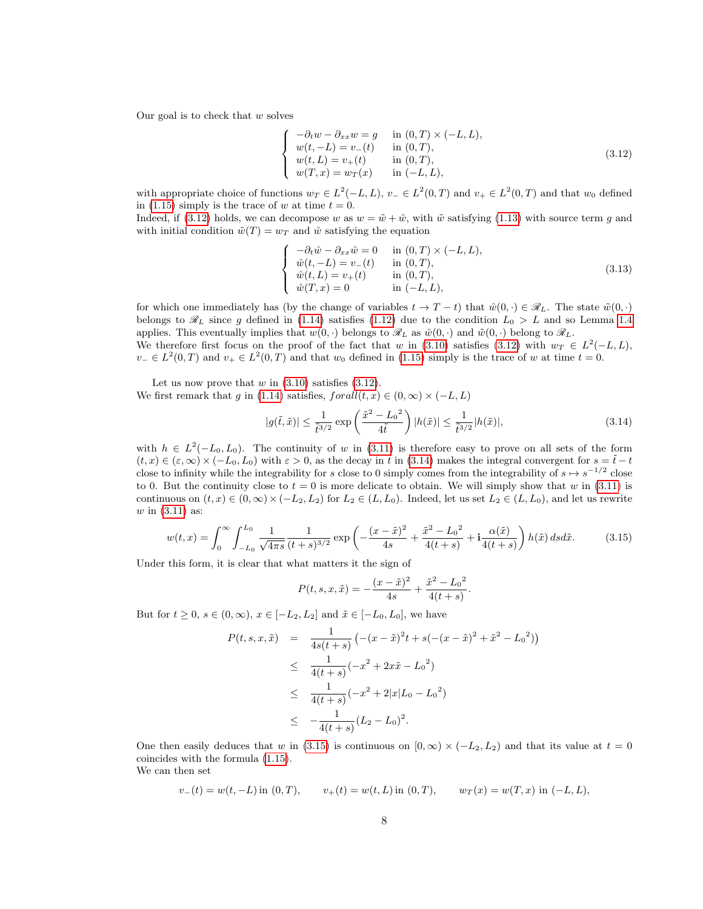Our goal is to check that  $w$  solves

<span id="page-7-0"></span>
$$
\begin{cases}\n-\partial_t w - \partial_{xx} w = g & \text{in } (0, T) \times (-L, L), \\
w(t, -L) = v_-(t) & \text{in } (0, T), \\
w(t, L) = v_+(t) & \text{in } (0, T), \\
w(T, x) = w_T(x) & \text{in } (-L, L),\n\end{cases}
$$
\n(3.12)

with appropriate choice of functions  $w_T \in L^2(-L, L)$ ,  $v_- \in L^2(0, T)$  and  $v_+ \in L^2(0, T)$  and that  $w_0$  defined in [\(1.15\)](#page-2-5) simply is the trace of w at time  $t = 0$ .

Indeed, if [\(3.12\)](#page-7-0) holds, we can decompose w as  $w = \tilde{w} + \hat{w}$ , with  $\tilde{w}$  satisfying [\(1.13\)](#page-2-3) with source term q and with initial condition  $\tilde{w}(T) = w_T$  and  $\hat{w}$  satisfying the equation

$$
\begin{cases}\n-\partial_t \hat{w} - \partial_{xx} \hat{w} = 0 & \text{in } (0, T) \times (-L, L), \\
\hat{w}(t, -L) = v_{-}(t) & \text{in } (0, T), \\
\hat{w}(t, L) = v_{+}(t) & \text{in } (0, T), \\
\hat{w}(T, x) = 0 & \text{in } (-L, L),\n\end{cases}
$$
\n(3.13)

for which one immediately has (by the change of variables  $t \to T - t$ ) that  $\hat{w}(0, \cdot) \in \mathcal{R}_L$ . The state  $\tilde{w}(0, \cdot)$ belongs to  $\mathscr{R}_L$  since g defined in [\(1.14\)](#page-2-2) satisfies [\(1.12\)](#page-2-4) due to the condition  $L_0 > L$  and so Lemma [1.4](#page-2-0) applies. This eventually implies that  $w(0, \cdot)$  belongs to  $\mathcal{R}_L$  as  $\hat{w}(0, \cdot)$  and  $\tilde{w}(0, \cdot)$  belong to  $\mathcal{R}_L$ .

We therefore first focus on the proof of the fact that w in [\(3.10\)](#page-6-5) satisfies [\(3.12\)](#page-7-0) with  $w_T \in L^2(-L,L)$ ,  $v_-\in L^2(0,T)$  and  $v_+\in L^2(0,T)$  and that  $w_0$  defined in [\(1.15\)](#page-2-5) simply is the trace of w at time  $t=0$ .

Let us now prove that  $w$  in  $(3.10)$  satisfies  $(3.12)$ . We first remark that g in [\(1.14\)](#page-2-2) satisfies,  $for all (t, x) \in (0, \infty) \times (-L, L)$ 

<span id="page-7-1"></span>
$$
|g(\tilde{t},\tilde{x})| \le \frac{1}{\tilde{t}^{3/2}} \exp\left(\frac{\tilde{x}^2 - L_0^2}{4\tilde{t}}\right) |h(\tilde{x})| \le \frac{1}{\tilde{t}^{3/2}} |h(\tilde{x})|,\tag{3.14}
$$

with  $h \in L^2(-L_0, L_0)$ . The continuity of w in [\(3.11\)](#page-6-5) is therefore easy to prove on all sets of the form  $(t, x) \in (\varepsilon, \infty) \times (-L_0, L_0)$  with  $\varepsilon > 0$ , as the decay in  $\tilde{t}$  in [\(3.14\)](#page-7-1) makes the integral convergent for  $s = \tilde{t} - t$ close to infinity while the integrability for s close to 0 simply comes from the integrability of  $s \mapsto s^{-1/2}$  close to 0. But the continuity close to  $t = 0$  is more delicate to obtain. We will simply show that w in [\(3.11\)](#page-6-5) is continuous on  $(t, x) \in (0, \infty) \times (-L_2, L_2)$  for  $L_2 \in (L, L_0)$ . Indeed, let us set  $L_2 \in (L, L_0)$ , and let us rewrite  $w$  in  $(3.11)$  as:

<span id="page-7-2"></span>
$$
w(t,x) = \int_0^\infty \int_{-L_0}^{L_0} \frac{1}{\sqrt{4\pi s}} \frac{1}{(t+s)^{3/2}} \exp\left(-\frac{(x-\tilde{x})^2}{4s} + \frac{\tilde{x}^2 - L_0^2}{4(t+s)} + \mathbf{i}\frac{\alpha(\tilde{x})}{4(t+s)}\right) h(\tilde{x}) ds d\tilde{x}.
$$
 (3.15)

Under this form, it is clear that what matters it the sign of

$$
P(t, s, x, \tilde{x}) = -\frac{(x - \tilde{x})^2}{4s} + \frac{\tilde{x}^2 - L_0^2}{4(t + s)}.
$$

But for  $t \geq 0$ ,  $s \in (0,\infty)$ ,  $x \in [-L_2, L_2]$  and  $\tilde{x} \in [-L_0, L_0]$ , we have

$$
P(t, s, x, \tilde{x}) = \frac{1}{4s(t+s)} \left( -(x-\tilde{x})^2 t + s(- (x-\tilde{x})^2 + \tilde{x}^2 - L_0^2) \right)
$$
  
\n
$$
\leq \frac{1}{4(t+s)} (-x^2 + 2x\tilde{x} - L_0^2)
$$
  
\n
$$
\leq \frac{1}{4(t+s)} (-x^2 + 2|x|L_0 - L_0^2)
$$
  
\n
$$
\leq -\frac{1}{4(t+s)} (L_2 - L_0)^2.
$$

One then easily deduces that w in [\(3.15\)](#page-7-2) is continuous on  $[0, \infty) \times (-L_2, L_2)$  and that its value at  $t = 0$ coincides with the formula [\(1.15\)](#page-2-5).

We can then set

$$
v_{-}(t) = w(t, -L) \text{ in } (0, T),
$$
  $v_{+}(t) = w(t, L) \text{ in } (0, T),$   $w_{T}(x) = w(T, x) \text{ in } (-L, L),$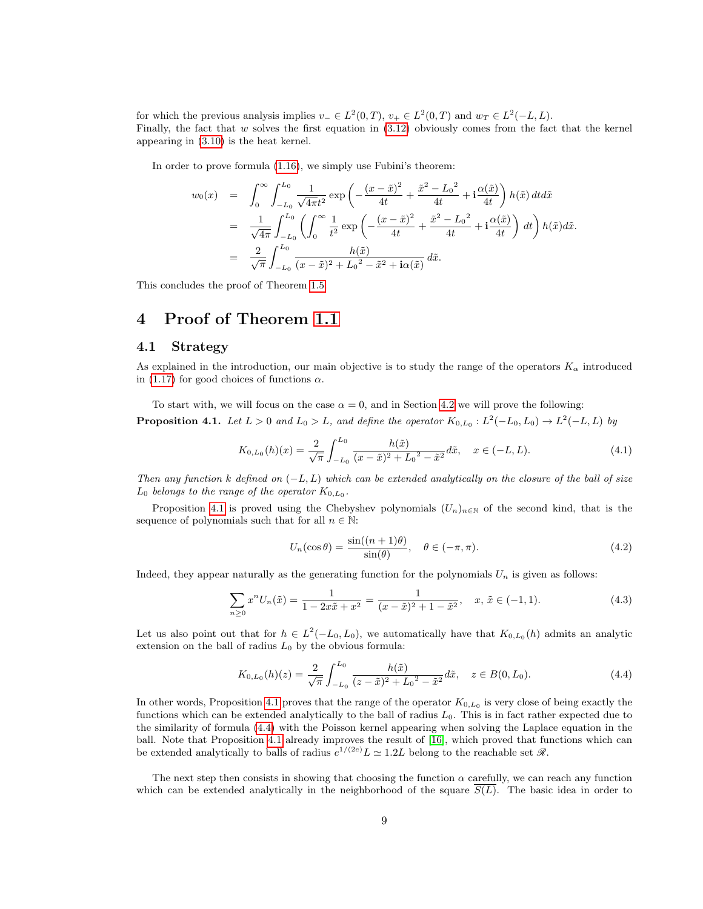for which the previous analysis implies  $v_-\in L^2(0,T)$ ,  $v_+\in L^2(0,T)$  and  $w_T\in L^2(-L,L)$ . Finally, the fact that  $w$  solves the first equation in  $(3.12)$  obviously comes from the fact that the kernel appearing in [\(3.10\)](#page-6-5) is the heat kernel.

In order to prove formula [\(1.16\)](#page-2-6), we simply use Fubini's theorem:

$$
w_0(x) = \int_0^\infty \int_{-L_0}^{L_0} \frac{1}{\sqrt{4\pi}t^2} \exp\left(-\frac{(x-\tilde{x})^2}{4t} + \frac{\tilde{x}^2 - L_0^2}{4t} + \mathbf{i}\frac{\alpha(\tilde{x})}{4t}\right) h(\tilde{x}) dt d\tilde{x}
$$
  
\n
$$
= \frac{1}{\sqrt{4\pi}} \int_{-L_0}^{L_0} \left(\int_0^\infty \frac{1}{t^2} \exp\left(-\frac{(x-\tilde{x})^2}{4t} + \frac{\tilde{x}^2 - L_0^2}{4t} + \mathbf{i}\frac{\alpha(\tilde{x})}{4t}\right) dt\right) h(\tilde{x}) d\tilde{x}.
$$
  
\n
$$
= \frac{2}{\sqrt{\pi}} \int_{-L_0}^{L_0} \frac{h(\tilde{x})}{(x-\tilde{x})^2 + L_0^2 - \tilde{x}^2 + \mathbf{i}\alpha(\tilde{x})} d\tilde{x}.
$$

This concludes the proof of Theorem [1.5.](#page-2-1)

## <span id="page-8-0"></span>4 Proof of Theorem [1.1](#page-1-0)

#### 4.1 Strategy

As explained in the introduction, our main objective is to study the range of the operators  $K_{\alpha}$  introduced in [\(1.17\)](#page-3-0) for good choices of functions  $\alpha$ .

<span id="page-8-1"></span>To start with, we will focus on the case  $\alpha = 0$ , and in Section [4.2](#page-10-0) we will prove the following: **Proposition 4.1.** Let  $L > 0$  and  $L_0 > L$ , and define the operator  $K_{0,L_0} : L^2(-L_0, L_0) \to L^2(-L, L)$  by

<span id="page-8-3"></span>
$$
K_{0,L_0}(h)(x) = \frac{2}{\sqrt{\pi}} \int_{-L_0}^{L_0} \frac{h(\tilde{x})}{(x - \tilde{x})^2 + L_0^2 - \tilde{x}^2} d\tilde{x}, \quad x \in (-L, L).
$$
\n(4.1)

Then any function k defined on  $(-L, L)$  which can be extended analytically on the closure of the ball of size  $L_0$  belongs to the range of the operator  $K_{0,L_0}$ .

Proposition [4.1](#page-8-1) is proved using the Chebyshev polynomials  $(U_n)_{n\in\mathbb{N}}$  of the second kind, that is the sequence of polynomials such that for all  $n \in \mathbb{N}$ :

$$
U_n(\cos \theta) = \frac{\sin((n+1)\theta)}{\sin(\theta)}, \quad \theta \in (-\pi, \pi). \tag{4.2}
$$

Indeed, they appear naturally as the generating function for the polynomials  $U_n$  is given as follows:

<span id="page-8-4"></span>
$$
\sum_{n\geq 0} x^n U_n(\tilde{x}) = \frac{1}{1 - 2x\tilde{x} + x^2} = \frac{1}{(x - \tilde{x})^2 + 1 - \tilde{x}^2}, \quad x, \tilde{x} \in (-1, 1).
$$
 (4.3)

Let us also point out that for  $h \in L^2(-L_0, L_0)$ , we automatically have that  $K_{0,L_0}(h)$  admits an analytic extension on the ball of radius  $L_0$  by the obvious formula:

<span id="page-8-2"></span>
$$
K_{0,L_0}(h)(z) = \frac{2}{\sqrt{\pi}} \int_{-L_0}^{L_0} \frac{h(\tilde{x})}{(z - \tilde{x})^2 + L_0^2 - \tilde{x}^2} d\tilde{x}, \quad z \in B(0, L_0).
$$
 (4.4)

In other words, Proposition [4.1](#page-8-1) proves that the range of the operator  $K_{0,L_0}$  is very close of being exactly the functions which can be extended analytically to the ball of radius  $L_0$ . This is in fact rather expected due to the similarity of formula [\(4.4\)](#page-8-2) with the Poisson kernel appearing when solving the Laplace equation in the ball. Note that Proposition [4.1](#page-8-1) already improves the result of [\[16\]](#page-17-2), which proved that functions which can be extended analytically to balls of radius  $e^{1/(2e)}L \simeq 1.2L$  belong to the reachable set  $\mathscr{R}$ .

The next step then consists in showing that choosing the function  $\alpha$  carefully, we can reach any function which can be extended analytically in the neighborhood of the square  $S(L)$ . The basic idea in order to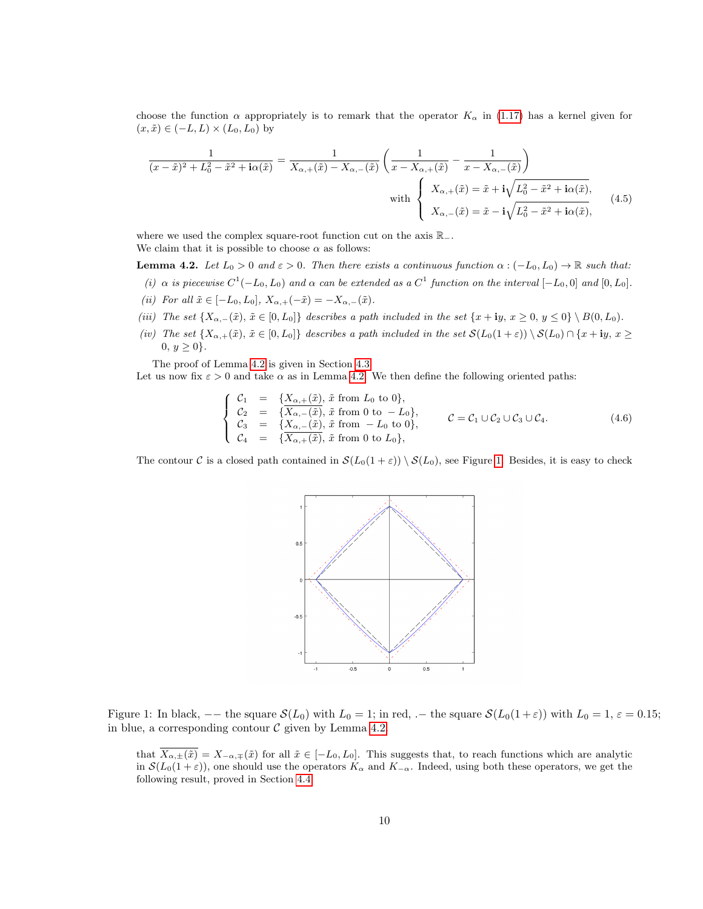choose the function  $\alpha$  appropriately is to remark that the operator  $K_{\alpha}$  in [\(1.17\)](#page-3-0) has a kernel given for  $(x, \tilde{x}) \in (-L, L) \times (L_0, L_0)$  by

$$
\frac{1}{(x-\tilde{x})^2 + L_0^2 - \tilde{x}^2 + i\alpha(\tilde{x})} = \frac{1}{X_{\alpha,+}(\tilde{x}) - X_{\alpha,-}(\tilde{x})} \left(\frac{1}{x - X_{\alpha,+}(\tilde{x})} - \frac{1}{x - X_{\alpha,-}(\tilde{x})}\right)
$$
\nwith\n
$$
\begin{cases}\nX_{\alpha,+}(\tilde{x}) = \tilde{x} + i\sqrt{L_0^2 - \tilde{x}^2 + i\alpha(\tilde{x})}, \\
X_{\alpha,-}(\tilde{x}) = \tilde{x} - i\sqrt{L_0^2 - \tilde{x}^2 + i\alpha(\tilde{x})},\n\end{cases}
$$
\n(4.5)

where we used the complex square-root function cut on the axis R<sub>−</sub>. We claim that it is possible to choose  $\alpha$  as follows:

<span id="page-9-0"></span>**Lemma 4.2.** Let  $L_0 > 0$  and  $\varepsilon > 0$ . Then there exists a continuous function  $\alpha : (-L_0, L_0) \to \mathbb{R}$  such that:

(i)  $\alpha$  is piecewise  $C^1(-L_0, L_0)$  and  $\alpha$  can be extended as a  $C^1$  function on the interval  $[-L_0, 0]$  and  $[0, L_0]$ . (ii) For all  $\tilde{x} \in [-L_0, L_0], X_{\alpha,+}(-\tilde{x}) = -X_{\alpha,-}(\tilde{x}).$ 

- (iii) The set  $\{X_{\alpha,-}(\tilde{x}), \tilde{x} \in [0,L_0]\}$  describes a path included in the set  $\{x + iy, x \ge 0, y \le 0\} \setminus B(0,L_0)$ .
- (iv) The set  $\{X_{\alpha,+}(\tilde{x}), \tilde{x} \in [0,L_0]\}\)$  describes a path included in the set  $\mathcal{S}(L_0(1+\varepsilon)) \setminus \mathcal{S}(L_0) \cap \{x + iy, x \geq 0\}$  $0, y \ge 0$ .

The proof of Lemma [4.2](#page-9-0) is given in Section [4.3.](#page-11-0)

Let us now fix  $\varepsilon > 0$  and take  $\alpha$  as in Lemma [4.2.](#page-9-0) We then define the following oriented paths:

<span id="page-9-2"></span>
$$
\begin{cases}\nC_1 = \{X_{\alpha,+}(\tilde{x}), \tilde{x} \text{ from } L_0 \text{ to } 0\}, \\
C_2 = \{X_{\alpha,-}(\tilde{x}), \tilde{x} \text{ from } 0 \text{ to } -L_0\}, \\
C_3 = \{X_{\alpha,-}(\tilde{x}), \tilde{x} \text{ from } -L_0 \text{ to } 0\}, \\
C_4 = \{X_{\alpha,+}(\tilde{x}), \tilde{x} \text{ from } 0 \text{ to } L_0\},\n\end{cases}\nC = C_1 \cup C_2 \cup C_3 \cup C_4.
$$
\n(4.6)

The contour C is a closed path contained in  $S(L_0(1+\varepsilon)) \setminus S(L_0)$ , see Figure [1.](#page-9-1) Besides, it is easy to check



Figure 1: In black,  $-$  the square  $\mathcal{S}(L_0)$  with  $L_0 = 1$ ; in red,  $-$  the square  $\mathcal{S}(L_0(1+\varepsilon))$  with  $L_0 = 1$ ,  $\varepsilon = 0.15$ ; in blue, a corresponding contour  $\mathcal C$  given by Lemma [4.2.](#page-9-0)

<span id="page-9-1"></span>that  $\overline{X_{\alpha,\pm}(\tilde{x})}=X_{-\alpha,\mp}(\tilde{x})$  for all  $\tilde{x}\in[-L_0,L_0]$ . This suggests that, to reach functions which are analytic in  $\mathcal{S}(L_0(1+\varepsilon))$ , one should use the operators  $K_\alpha$  and  $K_{-\alpha}$ . Indeed, using both these operators, we get the following result, proved in Section [4.4:](#page-14-0)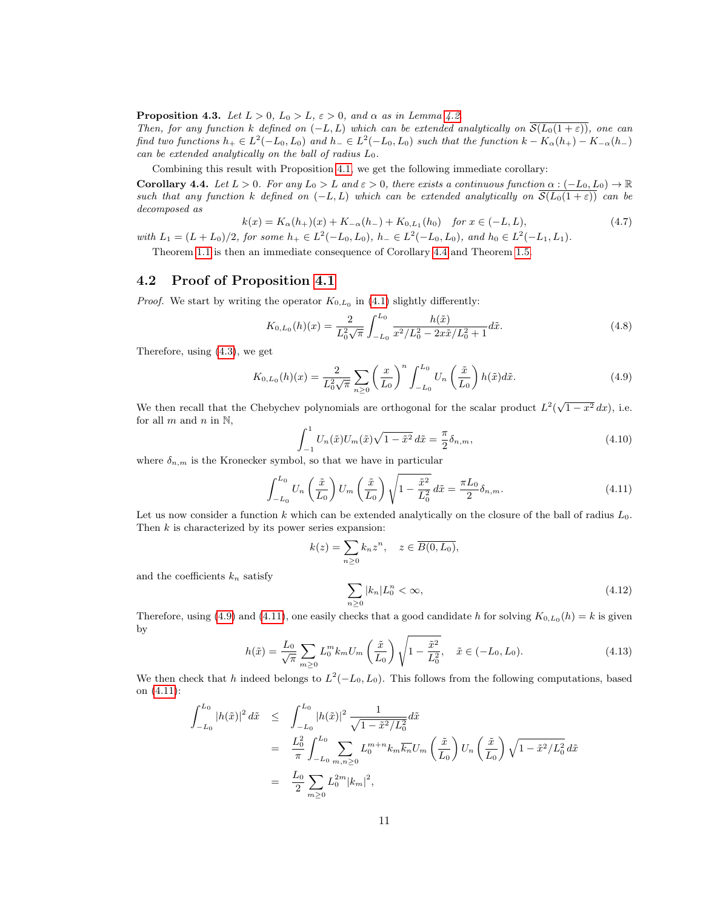<span id="page-10-5"></span>**Proposition 4.3.** Let  $L > 0$ ,  $L_0 > L$ ,  $\varepsilon > 0$ , and  $\alpha$  as in Lemma [4.2.](#page-9-0)

Then, for any function k defined on  $(-L, L)$  which can be extended analytically on  $\overline{\mathcal{S}(L_0(1+\varepsilon))}$ , one can find two functions  $h_+ \in L^2(-L_0, L_0)$  and  $h_- \in L^2(-L_0, L_0)$  such that the function  $k - K_{\alpha}(h_+) - K_{-\alpha}(h_-)$ can be extended analytically on the ball of radius  $L_0$ .

Combining this result with Proposition [4.1,](#page-8-1) we get the following immediate corollary:

<span id="page-10-1"></span>**Corollary 4.4.** Let  $L > 0$ . For any  $L_0 > L$  and  $\varepsilon > 0$ , there exists a continuous function  $\alpha : (-L_0, L_0) \to \mathbb{R}$ such that any function k defined on  $(-L, L)$  which can be extended analytically on  $\overline{\mathcal{S}(L_0(1+\varepsilon))}$  can be decomposed as

$$
k(x) = K_{\alpha}(h_{+})(x) + K_{-\alpha}(h_{-}) + K_{0,L_{1}}(h_{0}) \quad \text{for } x \in (-L, L),
$$
\n(4.7)

with  $L_1 = (L + L_0)/2$ , for some  $h_+ \in L^2(-L_0, L_0)$ ,  $h_- \in L^2(-L_0, L_0)$ , and  $h_0 \in L^2(-L_1, L_1)$ .

Theorem [1.1](#page-1-0) is then an immediate consequence of Corollary [4.4](#page-10-1) and Theorem [1.5.](#page-2-1)

### <span id="page-10-0"></span>4.2 Proof of Proposition [4.1](#page-8-1)

*Proof.* We start by writing the operator  $K_{0,L_0}$  in [\(4.1\)](#page-8-3) slightly differently:

$$
K_{0,L_0}(h)(x) = \frac{2}{L_0^2 \sqrt{\pi}} \int_{-L_0}^{L_0} \frac{h(\tilde{x})}{x^2/L_0^2 - 2x\tilde{x}/L_0^2 + 1} d\tilde{x}.\tag{4.8}
$$

Therefore, using [\(4.3\)](#page-8-4), we get

<span id="page-10-2"></span>
$$
K_{0,L_0}(h)(x) = \frac{2}{L_0^2 \sqrt{\pi}} \sum_{n \ge 0} \left(\frac{x}{L_0}\right)^n \int_{-L_0}^{L_0} U_n\left(\frac{\tilde{x}}{L_0}\right) h(\tilde{x}) d\tilde{x}.
$$
 (4.9)

We then recall that the Chebychev polynomials are orthogonal for the scalar product  $L^2(\sqrt{1-x^2} dx)$ , i.e. for all  $m$  and  $n$  in  $\mathbb{N}$ ,

$$
\int_{-1}^{1} U_n(\tilde{x}) U_m(\tilde{x}) \sqrt{1 - \tilde{x}^2} \, d\tilde{x} = \frac{\pi}{2} \delta_{n,m},\tag{4.10}
$$

where  $\delta_{n,m}$  is the Kronecker symbol, so that we have in particular

<span id="page-10-3"></span>
$$
\int_{-L_0}^{L_0} U_n\left(\frac{\tilde{x}}{L_0}\right) U_m\left(\frac{\tilde{x}}{L_0}\right) \sqrt{1 - \frac{\tilde{x}^2}{L_0^2}} d\tilde{x} = \frac{\pi L_0}{2} \delta_{n,m}.
$$
\n(4.11)

Let us now consider a function k which can be extended analytically on the closure of the ball of radius  $L_0$ . Then  $k$  is characterized by its power series expansion:

$$
k(z) = \sum_{n\geq 0} k_n z^n, \quad z \in \overline{B(0, L_0)},
$$

and the coefficients  $k_n$  satisfy

<span id="page-10-4"></span>
$$
\sum_{n\geq 0} |k_n| L_0^n < \infty,\tag{4.12}
$$

Therefore, using [\(4.9\)](#page-10-2) and [\(4.11\)](#page-10-3), one easily checks that a good candidate h for solving  $K_{0,L_0}(h) = k$  is given by

$$
h(\tilde{x}) = \frac{L_0}{\sqrt{\pi}} \sum_{m \ge 0} L_0^m k_m U_m \left(\frac{\tilde{x}}{L_0}\right) \sqrt{1 - \frac{\tilde{x}^2}{L_0^2}}, \quad \tilde{x} \in (-L_0, L_0). \tag{4.13}
$$

We then check that h indeed belongs to  $L^2(-L_0, L_0)$ . This follows from the following computations, based on [\(4.11\)](#page-10-3):

$$
\int_{-L_0}^{L_0} |h(\tilde{x})|^2 d\tilde{x} \leq \int_{-L_0}^{L_0} |h(\tilde{x})|^2 \frac{1}{\sqrt{1 - \tilde{x}^2/L_0^2}} d\tilde{x}
$$
\n
$$
= \frac{L_0^2}{\pi} \int_{-L_0}^{L_0} \sum_{m,n \geq 0} L_0^{m+n} k_m \overline{k_n} U_m \left(\frac{\tilde{x}}{L_0}\right) U_n \left(\frac{\tilde{x}}{L_0}\right) \sqrt{1 - \tilde{x}^2/L_0^2} d\tilde{x}
$$
\n
$$
= \frac{L_0}{2} \sum_{m \geq 0} L_0^{2m} |k_m|^2,
$$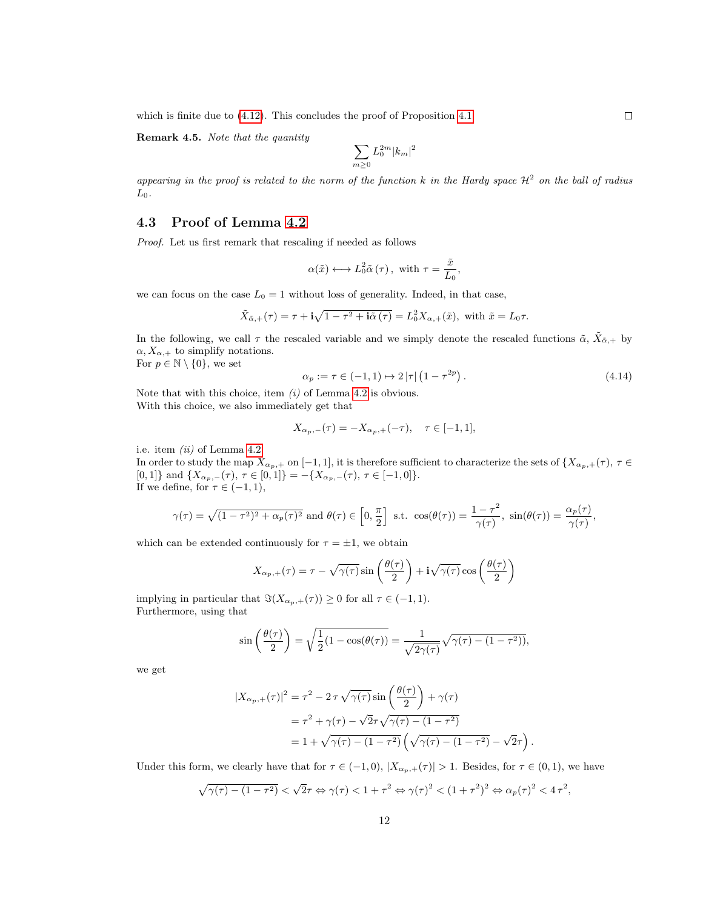which is finite due to  $(4.12)$ . This concludes the proof of Proposition [4.1.](#page-8-1)

Remark 4.5. Note that the quantity

$$
\sum_{m\geq 0}L_0^{2m}|k_m|^2
$$

appearing in the proof is related to the norm of the function k in the Hardy space  $\mathcal{H}^2$  on the ball of radius  $L_0$ .

#### <span id="page-11-0"></span>4.3 Proof of Lemma [4.2](#page-9-0)

Proof. Let us first remark that rescaling if needed as follows

$$
\alpha(\tilde{x}) \longleftrightarrow L_0^2 \tilde{\alpha}(\tau), \text{ with } \tau = \frac{\tilde{x}}{L_0},
$$

we can focus on the case  $L_0 = 1$  without loss of generality. Indeed, in that case,

$$
\tilde{X}_{\tilde{\alpha},+}(\tau) = \tau + \mathbf{i}\sqrt{1-\tau^2+\mathbf{i}\tilde{\alpha}(\tau)} = L_0^2 X_{\alpha,+}(\tilde{x}), \text{ with } \tilde{x} = L_0 \tau.
$$

In the following, we call  $\tau$  the rescaled variable and we simply denote the rescaled functions  $\tilde{\alpha}$ ,  $\tilde{X}_{\tilde{\alpha},+}$  by  $\alpha, X_{\alpha,+}$  to simplify notations.

For  $p \in \mathbb{N} \setminus \{0\}$ , we set

<span id="page-11-1"></span>
$$
\alpha_p := \tau \in (-1, 1) \mapsto 2|\tau| \left(1 - \tau^{2p}\right). \tag{4.14}
$$

.

Note that with this choice, item  $(i)$  of Lemma [4.2](#page-9-0) is obvious. With this choice, we also immediately get that

$$
X_{\alpha_p,-}(\tau) = -X_{\alpha_p,+}(-\tau), \quad \tau \in [-1,1],
$$

i.e. item  $(ii)$  of Lemma [4.2.](#page-9-0)

In order to study the map  $X_{\alpha_p,+}$  on [-1, 1], it is therefore sufficient to characterize the sets of  $\{X_{\alpha_p,+}(\tau), \tau \in$ [0, 1]} and  $\{X_{\alpha_p,-}(\tau), \tau \in [0,1]\} = -\{X_{\alpha_p,-}(\tau), \tau \in [-1,0]\}.$ If we define, for  $\tau \in (-1,1)$ ,

$$
\gamma(\tau) = \sqrt{(1-\tau^2)^2 + \alpha_p(\tau)^2}
$$
 and  $\theta(\tau) \in [0, \frac{\pi}{2}]$  s.t.  $\cos(\theta(\tau)) = \frac{1-\tau^2}{\gamma(\tau)}$ ,  $\sin(\theta(\tau)) = \frac{\alpha_p(\tau)}{\gamma(\tau)}$ ,

which can be extended continuously for  $\tau = \pm 1$ , we obtain

$$
X_{\alpha_p,+}(\tau) = \tau - \sqrt{\gamma(\tau)} \sin\left(\frac{\theta(\tau)}{2}\right) + i\sqrt{\gamma(\tau)} \cos\left(\frac{\theta(\tau)}{2}\right)
$$

implying in particular that  $\Im(X_{\alpha_p,+}(\tau)) \geq 0$  for all  $\tau \in (-1,1)$ . Furthermore, using that

$$
\sin\left(\frac{\theta(\tau)}{2}\right) = \sqrt{\frac{1}{2}(1 - \cos(\theta(\tau))} = \frac{1}{\sqrt{2\gamma(\tau)}}\sqrt{\gamma(\tau) - (1 - \tau^2)}\,math>
$$

we get

$$
|X_{\alpha_p,+}(\tau)|^2 = \tau^2 - 2\,\tau\,\sqrt{\gamma(\tau)}\sin\left(\frac{\theta(\tau)}{2}\right) + \gamma(\tau)
$$

$$
= \tau^2 + \gamma(\tau) - \sqrt{2}\tau\sqrt{\gamma(\tau) - (1-\tau^2)}
$$

$$
= 1 + \sqrt{\gamma(\tau) - (1-\tau^2)}\left(\sqrt{\gamma(\tau) - (1-\tau^2)} - \sqrt{2}\tau\right)
$$

Under this form, we clearly have that for  $\tau \in (-1,0)$ ,  $|X_{\alpha_p,+}(\tau)| > 1$ . Besides, for  $\tau \in (0,1)$ , we have

$$
\sqrt{\gamma(\tau)-(1-\tau^2)} < \sqrt{2}\tau \Leftrightarrow \gamma(\tau) < 1+\tau^2 \Leftrightarrow \gamma(\tau)^2 < (1+\tau^2)^2 \Leftrightarrow \alpha_p(\tau)^2 < 4\tau^2,
$$

 $\Box$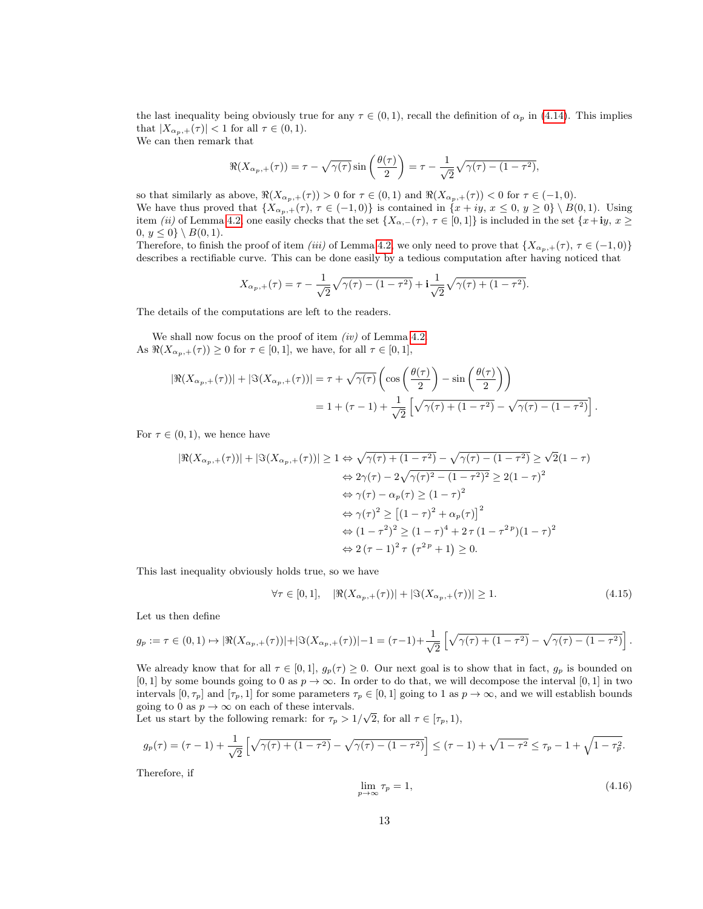the last inequality being obviously true for any  $\tau \in (0,1)$ , recall the definition of  $\alpha_p$  in [\(4.14\)](#page-11-1). This implies that  $|X_{\alpha_p,+}(\tau)| < 1$  for all  $\tau \in (0,1)$ . We can then remark that

> $\Re(X_{\alpha_p,+}(\tau)) = \tau - \sqrt{\gamma(\tau)} \sin\left(\frac{\theta(\tau)}{2}\right)$ 2  $\bigg) = \tau - \frac{1}{\sqrt{2}}$  $\sqrt{\gamma(\tau) - (1-\tau^2)},$

so that similarly as above,  $\Re(X_{\alpha_p,+}(\tau)) > 0$  for  $\tau \in (0,1)$  and  $\Re(X_{\alpha_p,+}(\tau)) < 0$  for  $\tau \in (-1,0)$ . We have thus proved that  $\{X_{\alpha_p,+}(\tau), \tau \in (-1,0)\}\$ is contained in  $\{x+iy, x \leq 0, y \geq 0\}\setminus B(0,1)$ . Using item (ii) of Lemma [4.2,](#page-9-0) one easily checks that the set  $\{X_{\alpha,-}(\tau), \tau \in [0,1]\}$  is included in the set  $\{x+iy, x \geq 0\}$ 0,  $y \le 0$ } \  $B(0, 1)$ .

Therefore, to finish the proof of item *(iii)* of Lemma [4.2,](#page-9-0) we only need to prove that  $\{X_{\alpha_p,+}(\tau), \tau \in (-1,0)\}$ describes a rectifiable curve. This can be done easily by a tedious computation after having noticed that

$$
X_{\alpha_p,+}(\tau) = \tau - \frac{1}{\sqrt{2}}\sqrt{\gamma(\tau) - (1 - \tau^2)} + \mathbf{i}\frac{1}{\sqrt{2}}\sqrt{\gamma(\tau) + (1 - \tau^2)}.
$$

The details of the computations are left to the readers.

We shall now focus on the proof of item  $(iv)$  of Lemma [4.2.](#page-9-0) As  $\Re(X_{\alpha_p,+}(\tau)) \geq 0$  for  $\tau \in [0,1]$ , we have, for all  $\tau \in [0,1]$ ,

$$
|\Re(X_{\alpha_p,+}(\tau))| + |\Im(X_{\alpha_p,+}(\tau))| = \tau + \sqrt{\gamma(\tau)} \left( \cos\left(\frac{\theta(\tau)}{2}\right) - \sin\left(\frac{\theta(\tau)}{2}\right) \right)
$$
  
= 1 + (\tau - 1) +  $\frac{1}{\sqrt{2}} \left[ \sqrt{\gamma(\tau) + (1 - \tau^2)} - \sqrt{\gamma(\tau) - (1 - \tau^2)} \right].$ 

For  $\tau \in (0,1)$ , we hence have

$$
|\Re(X_{\alpha_p,+}(\tau))| + |\Im(X_{\alpha_p,+}(\tau))| \ge 1 \Leftrightarrow \sqrt{\gamma(\tau) + (1 - \tau^2)} - \sqrt{\gamma(\tau) - (1 - \tau^2)} \ge \sqrt{2}(1 - \tau)
$$
  

$$
\Leftrightarrow 2\gamma(\tau) - 2\sqrt{\gamma(\tau)^2 - (1 - \tau^2)^2} \ge 2(1 - \tau)^2
$$
  

$$
\Leftrightarrow \gamma(\tau) - \alpha_p(\tau) \ge (1 - \tau)^2
$$
  

$$
\Leftrightarrow \gamma(\tau)^2 \ge [(1 - \tau)^2 + \alpha_p(\tau)]^2
$$
  

$$
\Leftrightarrow (1 - \tau^2)^2 \ge (1 - \tau)^4 + 2\tau(1 - \tau^{2p})(1 - \tau)^2
$$
  

$$
\Leftrightarrow 2(\tau - 1)^2 \tau(\tau^{2p} + 1) \ge 0.
$$

This last inequality obviously holds true, so we have

$$
\forall \tau \in [0, 1], \quad |\Re(X_{\alpha_p, +}(\tau))| + |\Im(X_{\alpha_p, +}(\tau))| \ge 1.
$$
\n(4.15)

Let us then define

$$
g_p := \tau \in (0,1) \mapsto |\Re(X_{\alpha_p,+}(\tau))| + |\Im(X_{\alpha_p,+}(\tau))| - 1 = (\tau - 1) + \frac{1}{\sqrt{2}} \left[ \sqrt{\gamma(\tau) + (1 - \tau^2)} - \sqrt{\gamma(\tau) - (1 - \tau^2)} \right].
$$

We already know that for all  $\tau \in [0, 1]$ ,  $g_p(\tau) \geq 0$ . Our next goal is to show that in fact,  $g_p$  is bounded on [0, 1] by some bounds going to 0 as  $p \to \infty$ . In order to do that, we will decompose the interval [0, 1] in two intervals  $[0, \tau_p]$  and  $[\tau_p, 1]$  for some parameters  $\tau_p \in [0, 1]$  going to 1 as  $p \to \infty$ , and we will establish bounds going to 0 as  $p \to \infty$  on each of these intervals.

going to 0 as  $p \to \infty$  on each or these intervals.<br>Let us start by the following remark: for  $\tau_p > 1/\sqrt{2}$ , for all  $\tau \in [\tau_p, 1)$ ,

$$
g_p(\tau) = (\tau - 1) + \frac{1}{\sqrt{2}} \left[ \sqrt{\gamma(\tau) + (1 - \tau^2)} - \sqrt{\gamma(\tau) - (1 - \tau^2)} \right] \leq (\tau - 1) + \sqrt{1 - \tau^2} \leq \tau_p - 1 + \sqrt{1 - \tau_p^2}.
$$

Therefore, if

<span id="page-12-0"></span>
$$
\lim_{p \to \infty} \tau_p = 1,\tag{4.16}
$$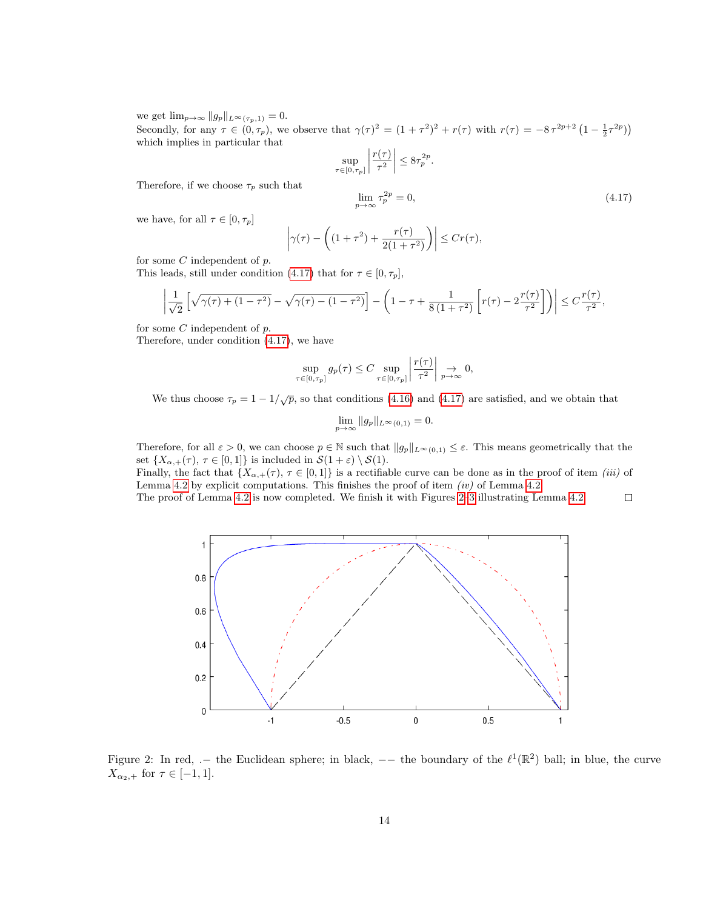we get  $\lim_{p\to\infty}||g_p||_{L^{\infty}(\tau_p,1)}=0.$ Secondly, for any  $\tau \in (0, \tau_p)$ , we observe that  $\gamma(\tau)^2 = (1 + \tau^2)^2 + r(\tau)$  with  $r(\tau) = -8\tau^{2p+2} (1 - \frac{1}{2}\tau^{2p})$ which implies in particular that

$$
\sup_{\tau \in [0,\tau_p]} \left| \frac{r(\tau)}{\tau^2} \right| \le 8\tau_p^{2p}.
$$

Therefore, if we choose  $\tau_p$  such that

<span id="page-13-0"></span>
$$
\lim_{p \to \infty} \tau_p^{2p} = 0,\tag{4.17}
$$

we have, for all  $\tau \in [0, \tau_p]$ 

$$
\left|\gamma(\tau) - \left( (1+\tau^2) + \frac{r(\tau)}{2(1+\tau^2)} \right) \right| \le Cr(\tau),
$$

for some  $C$  independent of  $p$ .

This leads, still under condition [\(4.17\)](#page-13-0) that for  $\tau \in [0, \tau_p]$ ,

$$
\left|\frac{1}{\sqrt{2}}\left[\sqrt{\gamma(\tau)+(1-\tau^2)}-\sqrt{\gamma(\tau)-(1-\tau^2)}\right]-\left(1-\tau+\frac{1}{8(1+\tau^2)}\left[r(\tau)-2\frac{r(\tau)}{\tau^2}\right]\right)\right|\leq C\frac{r(\tau)}{\tau^2},
$$

for some  $C$  independent of  $p$ .

Therefore, under condition [\(4.17\)](#page-13-0), we have

$$
\sup_{\tau \in [0,\tau_p]} g_p(\tau) \leq C \sup_{\tau \in [0,\tau_p]} \left| \frac{r(\tau)}{\tau^2} \right| \underset{p \to \infty}{\to} 0,
$$

We thus choose  $\tau_p = 1 - 1/\sqrt{p}$ , so that conditions [\(4.16\)](#page-12-0) and [\(4.17\)](#page-13-0) are satisfied, and we obtain that

$$
\lim_{p \to \infty} \|g_p\|_{L^{\infty}(0,1)} = 0.
$$

Therefore, for all  $\varepsilon > 0$ , we can choose  $p \in \mathbb{N}$  such that  $||g_p||_{L^{\infty}(0,1)} \leq \varepsilon$ . This means geometrically that the set  $\{X_{\alpha,+}(\tau), \tau \in [0,1]\}\$ is included in  $\mathcal{S}(1+\varepsilon) \setminus \mathcal{S}(1)$ .

Finally, the fact that  $\{X_{\alpha,+}(\tau), \tau \in [0,1]\}$  is a rectifiable curve can be done as in the proof of item *(iii)* of Lemma [4.2](#page-9-0) by explicit computations. This finishes the proof of item  $(iv)$  of Lemma [4.2.](#page-9-0)

The proof of Lemma [4.2](#page-9-0) is now completed. We finish it with Figures [2–](#page-13-1)[3](#page-14-1) illustrating Lemma [4.2.](#page-9-0)  $\Box$ 



<span id="page-13-1"></span>Figure 2: In red,  $-$  the Euclidean sphere; in black,  $-$  the boundary of the  $\ell^1(\mathbb{R}^2)$  ball; in blue, the curve  $X_{\alpha_2,+}$  for  $\tau \in [-1,1].$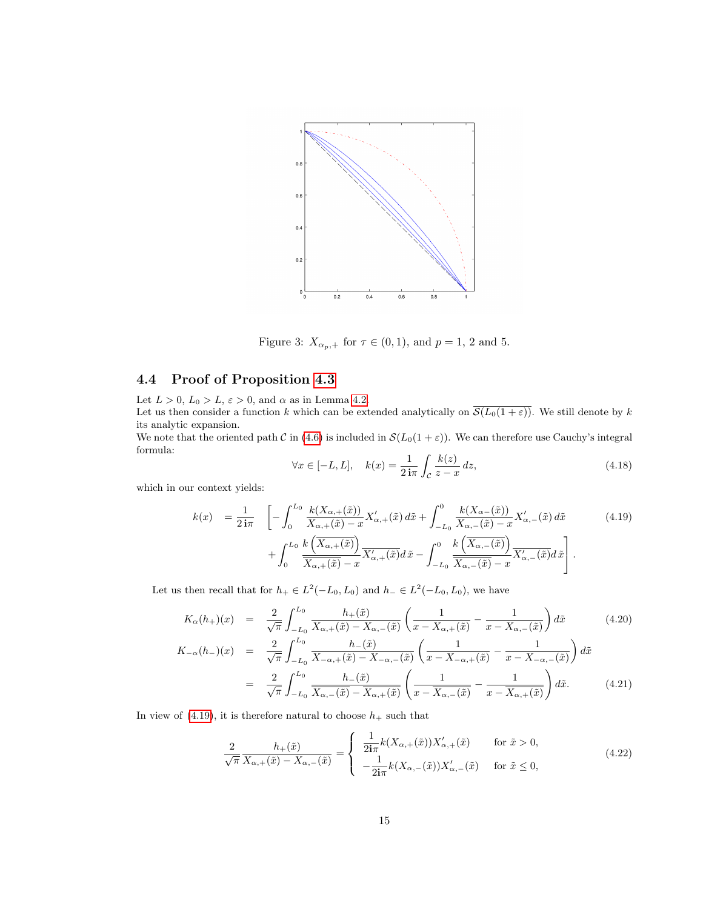

<span id="page-14-1"></span>Figure 3:  $X_{\alpha_p,+}$  for  $\tau \in (0,1)$ , and  $p=1, 2$  and 5.

## <span id="page-14-0"></span>4.4 Proof of Proposition [4.3](#page-10-5)

Let  $L > 0$ ,  $L_0 > L$ ,  $\varepsilon > 0$ , and  $\alpha$  as in Lemma [4.2.](#page-9-0) Let us then consider a function k which can be extended analytically on  $\overline{\mathcal{S}(L_0(1+\varepsilon))}$ . We still denote by k its analytic expansion.

We note that the oriented path C in [\(4.6\)](#page-9-2) is included in  $\mathcal{S}(L_0(1+\varepsilon))$ . We can therefore use Cauchy's integral formula:

$$
\forall x \in [-L, L], \quad k(x) = \frac{1}{2i\pi} \int_{\mathcal{C}} \frac{k(z)}{z - x} dz,
$$
\n(4.18)

which in our context yields:

<span id="page-14-2"></span>
$$
k(x) = \frac{1}{2\,\mathbf{i}\pi} \quad \left[ -\int_0^{L_0} \frac{k(X_{\alpha,+}(\tilde{x}))}{X_{\alpha,+}(\tilde{x}) - x} X'_{\alpha,+}(\tilde{x}) \, d\tilde{x} + \int_{-L_0}^0 \frac{k(X_{\alpha,-}(\tilde{x}))}{X_{\alpha,-}(\tilde{x}) - x} X'_{\alpha,-}(\tilde{x}) \, d\tilde{x} \right. \tag{4.19}
$$
\n
$$
+ \int_0^{L_0} \frac{k\left(\overline{X}_{\alpha,+}(\tilde{x})\right)}{\overline{X_{\alpha,+}(\tilde{x})} - x} \overline{X'_{\alpha,+}(\tilde{x})} d\tilde{x} - \int_{-L_0}^0 \frac{k\left(\overline{X}_{\alpha,-}(\tilde{x})\right)}{\overline{X_{\alpha,-}(\tilde{x})} - x} \overline{X'_{\alpha,-}(\tilde{x})} d\tilde{x} \right].
$$

Let us then recall that for  $h_+ \in L^2(-L_0, L_0)$  and  $h_- \in L^2(-L_0, L_0)$ , we have

<span id="page-14-4"></span>
$$
K_{\alpha}(h_{+})(x) = \frac{2}{\sqrt{\pi}} \int_{-L_{0}}^{L_{0}} \frac{h_{+}(\tilde{x})}{X_{\alpha,+}(\tilde{x}) - X_{\alpha,-}(\tilde{x})} \left(\frac{1}{x - X_{\alpha,+}(\tilde{x})} - \frac{1}{x - X_{\alpha,-}(\tilde{x})}\right) d\tilde{x}
$$
(4.20)  

$$
K_{-\alpha}(h_{-})(x) = \frac{2}{\sqrt{\pi}} \int_{-L_{0}}^{L_{0}} \frac{h_{-}(\tilde{x})}{X_{-\alpha,+}(\tilde{x}) - X_{-\alpha,-}(\tilde{x})} \left(\frac{1}{x - X_{-\alpha,+}(\tilde{x})} - \frac{1}{x - X_{-\alpha,-}(\tilde{x})}\right) d\tilde{x}
$$

$$
\nabla \pi J_{-L_0} \Lambda_{-\alpha,+}(x) - \Lambda_{-\alpha,-}(x) \left( x - \Lambda_{-\alpha,+}(x) \right) x - \Lambda_{-\alpha,-}(x) \n= \frac{2}{\sqrt{\pi}} \int_{-L_0}^{L_0} \frac{h_{-}(\tilde{x})}{\overline{X_{\alpha,-}(\tilde{x})} - \overline{X_{\alpha,+}(\tilde{x})}} \left( \frac{1}{x - \overline{X_{\alpha,-}(\tilde{x})}} - \frac{1}{x - \overline{X_{\alpha,+}(\tilde{x})}} \right) d\tilde{x}.
$$
\n(4.21)

In view of  $(4.19)$ , it is therefore natural to choose  $h_+$  such that

<span id="page-14-3"></span>
$$
\frac{2}{\sqrt{\pi}} \frac{h_+(\tilde{x})}{X_{\alpha,+}(\tilde{x}) - X_{\alpha,-}(\tilde{x})} = \begin{cases} \frac{1}{2i\pi} k(X_{\alpha,+}(\tilde{x})) X'_{\alpha,+}(\tilde{x}) & \text{for } \tilde{x} > 0, \\ -\frac{1}{2i\pi} k(X_{\alpha,-}(\tilde{x})) X'_{\alpha,-}(\tilde{x}) & \text{for } \tilde{x} \le 0, \end{cases}
$$
\n
$$
(4.22)
$$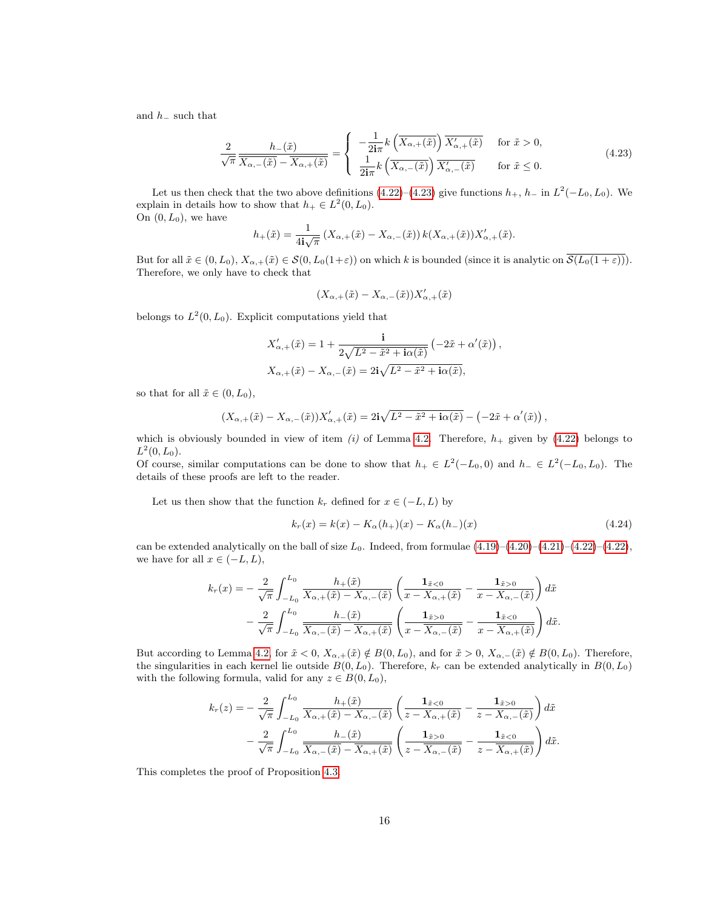and  $h_-\,$  such that

<span id="page-15-0"></span>
$$
\frac{2}{\sqrt{\pi}} \frac{h_{-}(\tilde{x})}{\overline{X_{\alpha,-}(\tilde{x})} - \overline{X_{\alpha,+}(\tilde{x})}} = \begin{cases} -\frac{1}{2i\pi} k \left( \overline{X_{\alpha,+}(\tilde{x})} \right) \overline{X'_{\alpha,+}(\tilde{x})} & \text{for } \tilde{x} > 0, \\ \frac{1}{2i\pi} k \left( \overline{X_{\alpha,-}(\tilde{x})} \right) \overline{X'_{\alpha,-}(\tilde{x})} & \text{for } \tilde{x} \le 0. \end{cases}
$$
(4.23)

Let us then check that the two above definitions  $(4.22)$ – $(4.23)$  give functions  $h_+$ ,  $h_-$  in  $L^2(-L_0, L_0)$ . We explain in details how to show that  $h_+ \in L^2(0, L_0)$ . On  $(0, L_0)$ , we have

$$
h_{+}(\tilde{x}) = \frac{1}{4\mathbf{i}\sqrt{\pi}}\left(X_{\alpha,+}(\tilde{x}) - X_{\alpha,-}(\tilde{x})\right)k(X_{\alpha,+}(\tilde{x}))X'_{\alpha,+}(\tilde{x}).
$$

But for all  $\tilde{x} \in (0, L_0), X_{\alpha,+}(\tilde{x}) \in \mathcal{S}(0, L_0(1+\varepsilon))$  on which k is bounded (since it is analytic on  $\overline{\mathcal{S}(L_0(1+\varepsilon))}$ ). Therefore, we only have to check that

$$
(X_{\alpha,+}(\tilde{x}) - X_{\alpha,-}(\tilde{x}))X'_{\alpha,+}(\tilde{x})
$$

belongs to  $L^2(0, L_0)$ . Explicit computations yield that

$$
X'_{\alpha,+}(\tilde{x}) = 1 + \frac{\mathbf{i}}{2\sqrt{L^2 - \tilde{x}^2 + \mathbf{i}\alpha(\tilde{x})}} \left(-2\tilde{x} + \alpha'(\tilde{x})\right),
$$
  

$$
X_{\alpha,+}(\tilde{x}) - X_{\alpha,-}(\tilde{x}) = 2\mathbf{i}\sqrt{L^2 - \tilde{x}^2 + \mathbf{i}\alpha(\tilde{x})},
$$

so that for all  $\tilde{x} \in (0, L_0)$ ,

$$
(X_{\alpha,+}(\tilde{x}) - X_{\alpha,-}(\tilde{x}))X'_{\alpha,+}(\tilde{x}) = 2\mathbf{i}\sqrt{L^2 - \tilde{x}^2 + \mathbf{i}\alpha(\tilde{x})} - (-2\tilde{x} + \alpha'(\tilde{x})),
$$

which is obviously bounded in view of item (i) of Lemma [4.2.](#page-9-0) Therefore,  $h_{+}$  given by [\(4.22\)](#page-14-3) belongs to  $L^2(0,L_0)$ .

Of course, similar computations can be done to show that  $h_+ \in L^2(-L_0, 0)$  and  $h_- \in L^2(-L_0, L_0)$ . The details of these proofs are left to the reader.

Let us then show that the function  $k_r$  defined for  $x \in (-L, L)$  by

$$
k_r(x) = k(x) - K_{\alpha}(h_{+})(x) - K_{\alpha}(h_{-})(x)
$$
\n(4.24)

can be extended analytically on the ball of size  $L_0$ . Indeed, from formulae  $(4.19)-(4.20)-(4.21)-(4.22)-(4.22)$  $(4.19)-(4.20)-(4.21)-(4.22)-(4.22)$  $(4.19)-(4.20)-(4.21)-(4.22)-(4.22)$  $(4.19)-(4.20)-(4.21)-(4.22)-(4.22)$  $(4.19)-(4.20)-(4.21)-(4.22)-(4.22)$  $(4.19)-(4.20)-(4.21)-(4.22)-(4.22)$  $(4.19)-(4.20)-(4.21)-(4.22)-(4.22)$  $(4.19)-(4.20)-(4.21)-(4.22)-(4.22)$ , we have for all  $x \in (-L, L)$ ,

$$
k_r(x) = -\frac{2}{\sqrt{\pi}} \int_{-L_0}^{L_0} \frac{h_+(\tilde{x})}{X_{\alpha,+}(\tilde{x}) - X_{\alpha,-}(\tilde{x})} \left( \frac{\mathbf{1}_{\tilde{x}<0}}{x - X_{\alpha,+}(\tilde{x})} - \frac{\mathbf{1}_{\tilde{x}>0}}{x - X_{\alpha,-}(\tilde{x})} \right) d\tilde{x}
$$

$$
- \frac{2}{\sqrt{\pi}} \int_{-L_0}^{L_0} \frac{h_-(\tilde{x})}{\overline{X_{\alpha,-}(\tilde{x})} - \overline{X_{\alpha,+}(\tilde{x})}} \left( \frac{\mathbf{1}_{\tilde{x}>0}}{x - \overline{X_{\alpha,-}(\tilde{x})}} - \frac{\mathbf{1}_{\tilde{x}<0}}{x - \overline{X_{\alpha,+}(\tilde{x})}} \right) d\tilde{x}.
$$

But according to Lemma [4.2,](#page-9-0) for  $\tilde{x} < 0$ ,  $X_{\alpha,+}(\tilde{x}) \notin B(0, L_0)$ , and for  $\tilde{x} > 0$ ,  $X_{\alpha,-}(\tilde{x}) \notin B(0, L_0)$ . Therefore, the singularities in each kernel lie outside  $B(0, L_0)$ . Therefore,  $k_r$  can be extended analytically in  $B(0, L_0)$ with the following formula, valid for any  $z \in B(0, L_0)$ ,

$$
k_r(z) = -\frac{2}{\sqrt{\pi}} \int_{-L_0}^{L_0} \frac{h_+(\tilde{x})}{X_{\alpha,+}(\tilde{x}) - X_{\alpha,-}(\tilde{x})} \left( \frac{\mathbf{1}_{\tilde{x}<0}}{z - X_{\alpha,+}(\tilde{x})} - \frac{\mathbf{1}_{\tilde{x}>0}}{z - X_{\alpha,-}(\tilde{x})} \right) d\tilde{x}
$$

$$
- \frac{2}{\sqrt{\pi}} \int_{-L_0}^{L_0} \frac{h_-(\tilde{x})}{\overline{X_{\alpha,-}(\tilde{x})} - \overline{X_{\alpha,+}(\tilde{x})}} \left( \frac{\mathbf{1}_{\tilde{x}>0}}{z - \overline{X_{\alpha,-}(\tilde{x})}} - \frac{\mathbf{1}_{\tilde{x}<0}}{z - \overline{X_{\alpha,+}(\tilde{x})}} \right) d\tilde{x}.
$$

This completes the proof of Proposition [4.3.](#page-10-5)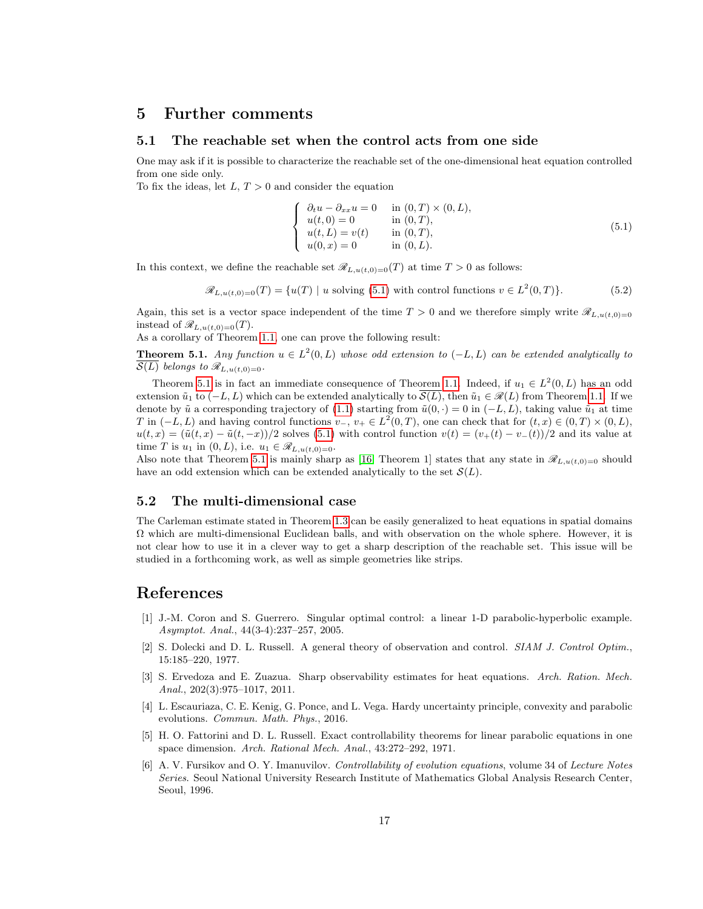#### <span id="page-16-6"></span>5 Further comments

#### 5.1 The reachable set when the control acts from one side

One may ask if it is possible to characterize the reachable set of the one-dimensional heat equation controlled from one side only.

To fix the ideas, let  $L, T > 0$  and consider the equation

<span id="page-16-7"></span>
$$
\begin{cases}\n\partial_t u - \partial_{xx} u = 0 & \text{in } (0, T) \times (0, L), \\
u(t, 0) = 0 & \text{in } (0, T), \\
u(t, L) = v(t) & \text{in } (0, T), \\
u(0, x) = 0 & \text{in } (0, L).\n\end{cases}
$$
\n(5.1)

In this context, we define the reachable set  $\mathscr{R}_{L,u(t,0)=0}(T)$  at time  $T > 0$  as follows:

$$
\mathcal{R}_{L,u(t,0)=0}(T) = \{u(T) \mid u \text{ solving (5.1) with control functions } v \in L^2(0,T)\}.
$$
\n
$$
(5.2)
$$

Again, this set is a vector space independent of the time  $T > 0$  and we therefore simply write  $\mathscr{R}_{L,u(t,0)=0}$ instead of  $\mathscr{R}_{L,u(t,0)=0}(T)$ .

As a corollary of Theorem [1.1,](#page-1-0) one can prove the following result:

<span id="page-16-8"></span>**Theorem 5.1.** Any function  $u \in L^2(0, L)$  whose odd extension to  $(-L, L)$  can be extended analytically to  $\overline{\mathcal{S}(L)}$  belongs to  $\mathscr{R}_{L,u(t,0)=0}$ .

Theorem [5.1](#page-16-8) is in fact an immediate consequence of Theorem [1.1.](#page-1-0) Indeed, if  $u_1 \in L^2(0, L)$  has an odd extension  $\tilde{u}_1$  to  $(-L, L)$  which can be extended analytically to  $\mathcal{S}(L)$ , then  $\tilde{u}_1 \in \mathcal{R}(L)$  from Theorem [1.1.](#page-1-0) If we denote by  $\tilde{u}$  a corresponding trajectory of [\(1.1\)](#page-0-0) starting from  $\tilde{u}(0, \cdot) = 0$  in  $(-L, L)$ , taking value  $\tilde{u}_1$  at time T in  $(-L, L)$  and having control functions  $v_-, v_+ \in L^2(0, T)$ , one can check that for  $(t, x) \in (0, T) \times (0, L)$ ,  $u(t, x) = (\tilde{u}(t, x) - \tilde{u}(t, -x))/2$  solves [\(5.1\)](#page-16-7) with control function  $v(t) = (v_+(t) - v_-(t))/2$  and its value at time T is  $u_1$  in  $(0, L)$ , i.e.  $u_1 \in \mathscr{R}_{L, u(t,0)=0}$ .

Also note that Theorem [5.1](#page-16-8) is mainly sharp as [\[16,](#page-17-2) Theorem 1] states that any state in  $\mathscr{R}_{L,\mathfrak{u}(t,0)=0}$  should have an odd extension which can be extended analytically to the set  $\mathcal{S}(L)$ .

#### 5.2 The multi-dimensional case

The Carleman estimate stated in Theorem [1.3](#page-1-5) can be easily generalized to heat equations in spatial domains  $\Omega$  which are multi-dimensional Euclidean balls, and with observation on the whole sphere. However, it is not clear how to use it in a clever way to get a sharp description of the reachable set. This issue will be studied in a forthcoming work, as well as simple geometries like strips.

## References

- <span id="page-16-5"></span>[1] J.-M. Coron and S. Guerrero. Singular optimal control: a linear 1-D parabolic-hyperbolic example. Asymptot. Anal., 44(3-4):237–257, 2005.
- <span id="page-16-3"></span>[2] S. Dolecki and D. L. Russell. A general theory of observation and control. SIAM J. Control Optim., 15:185–220, 1977.
- <span id="page-16-2"></span>[3] S. Ervedoza and E. Zuazua. Sharp observability estimates for heat equations. Arch. Ration. Mech. Anal., 202(3):975–1017, 2011.
- <span id="page-16-4"></span>[4] L. Escauriaza, C. E. Kenig, G. Ponce, and L. Vega. Hardy uncertainty principle, convexity and parabolic evolutions. Commun. Math. Phys., 2016.
- <span id="page-16-0"></span>[5] H. O. Fattorini and D. L. Russell. Exact controllability theorems for linear parabolic equations in one space dimension. Arch. Rational Mech. Anal., 43:272–292, 1971.
- <span id="page-16-1"></span>[6] A. V. Fursikov and O. Y. Imanuvilov. Controllability of evolution equations, volume 34 of Lecture Notes Series. Seoul National University Research Institute of Mathematics Global Analysis Research Center, Seoul, 1996.